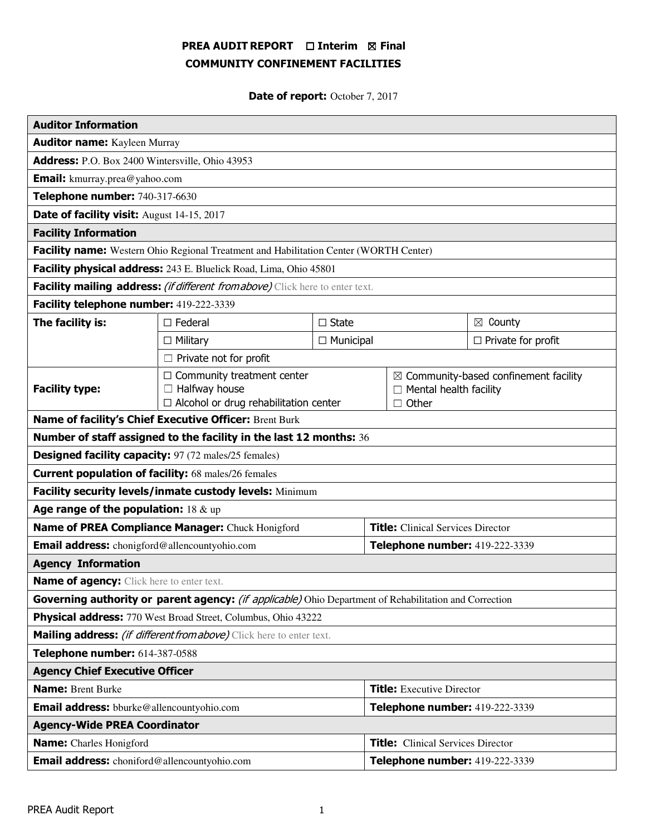# PREA AUDIT REPORT □ Interim 図 Final COMMUNITY CONFINEMENT FACILITIES

Date of report: October 7, 2017

| <b>Auditor Information</b>                                                                             |                                                                                                           |  |                                          |                                                                                                   |                    |
|--------------------------------------------------------------------------------------------------------|-----------------------------------------------------------------------------------------------------------|--|------------------------------------------|---------------------------------------------------------------------------------------------------|--------------------|
| <b>Auditor name:</b> Kayleen Murray                                                                    |                                                                                                           |  |                                          |                                                                                                   |                    |
| Address: P.O. Box 2400 Wintersville, Ohio 43953                                                        |                                                                                                           |  |                                          |                                                                                                   |                    |
| <b>Email:</b> kmurray.prea@yahoo.com                                                                   |                                                                                                           |  |                                          |                                                                                                   |                    |
| Telephone number: 740-317-6630                                                                         |                                                                                                           |  |                                          |                                                                                                   |                    |
| Date of facility visit: August 14-15, 2017                                                             |                                                                                                           |  |                                          |                                                                                                   |                    |
| <b>Facility Information</b>                                                                            |                                                                                                           |  |                                          |                                                                                                   |                    |
| Facility name: Western Ohio Regional Treatment and Habilitation Center (WORTH Center)                  |                                                                                                           |  |                                          |                                                                                                   |                    |
| Facility physical address: 243 E. Bluelick Road, Lima, Ohio 45801                                      |                                                                                                           |  |                                          |                                                                                                   |                    |
| Facility mailing address: (if different from above) Click here to enter text.                          |                                                                                                           |  |                                          |                                                                                                   |                    |
| Facility telephone number: 419-222-3339                                                                |                                                                                                           |  |                                          |                                                                                                   |                    |
| The facility is:                                                                                       | $\Box$ Federal<br>$\Box$ State<br>$\Box$ Municipal<br>$\Box$ Military                                     |  |                                          |                                                                                                   | $\boxtimes$ County |
|                                                                                                        |                                                                                                           |  |                                          | $\Box$ Private for profit                                                                         |                    |
| $\Box$ Private not for profit                                                                          |                                                                                                           |  |                                          |                                                                                                   |                    |
| <b>Facility type:</b>                                                                                  | $\Box$ Community treatment center<br>$\Box$ Halfway house<br>$\Box$ Alcohol or drug rehabilitation center |  |                                          | $\boxtimes$ Community-based confinement facility<br>$\Box$ Mental health facility<br>$\Box$ Other |                    |
| Name of facility's Chief Executive Officer: Brent Burk                                                 |                                                                                                           |  |                                          |                                                                                                   |                    |
| Number of staff assigned to the facility in the last 12 months: 36                                     |                                                                                                           |  |                                          |                                                                                                   |                    |
| <b>Designed facility capacity:</b> 97 (72 males/25 females)                                            |                                                                                                           |  |                                          |                                                                                                   |                    |
| <b>Current population of facility: 68 males/26 females</b>                                             |                                                                                                           |  |                                          |                                                                                                   |                    |
| Facility security levels/inmate custody levels: Minimum                                                |                                                                                                           |  |                                          |                                                                                                   |                    |
| Age range of the population: $18 \& up$                                                                |                                                                                                           |  |                                          |                                                                                                   |                    |
| Name of PREA Compliance Manager: Chuck Honigford                                                       |                                                                                                           |  | <b>Title:</b> Clinical Services Director |                                                                                                   |                    |
| Email address: chonigford@allencountyohio.com                                                          |                                                                                                           |  | Telephone number: 419-222-3339           |                                                                                                   |                    |
| <b>Agency Information</b>                                                                              |                                                                                                           |  |                                          |                                                                                                   |                    |
| <b>Name of agency:</b> Click here to enter text.                                                       |                                                                                                           |  |                                          |                                                                                                   |                    |
| Governing authority or parent agency: (if applicable) Ohio Department of Rehabilitation and Correction |                                                                                                           |  |                                          |                                                                                                   |                    |
| Physical address: 770 West Broad Street, Columbus, Ohio 43222                                          |                                                                                                           |  |                                          |                                                                                                   |                    |
| Mailing address: (if different from above) Click here to enter text.                                   |                                                                                                           |  |                                          |                                                                                                   |                    |
| Telephone number: 614-387-0588                                                                         |                                                                                                           |  |                                          |                                                                                                   |                    |
| <b>Agency Chief Executive Officer</b>                                                                  |                                                                                                           |  |                                          |                                                                                                   |                    |
| <b>Name: Brent Burke</b>                                                                               |                                                                                                           |  | <b>Title:</b> Executive Director         |                                                                                                   |                    |
| <b>Email address:</b> bburke@allencountyohio.com                                                       |                                                                                                           |  | Telephone number: 419-222-3339           |                                                                                                   |                    |
| <b>Agency-Wide PREA Coordinator</b>                                                                    |                                                                                                           |  |                                          |                                                                                                   |                    |
| <b>Name:</b> Charles Honigford                                                                         |                                                                                                           |  | <b>Title:</b> Clinical Services Director |                                                                                                   |                    |
| Email address: choniford@allencountyohio.com                                                           |                                                                                                           |  | Telephone number: 419-222-3339           |                                                                                                   |                    |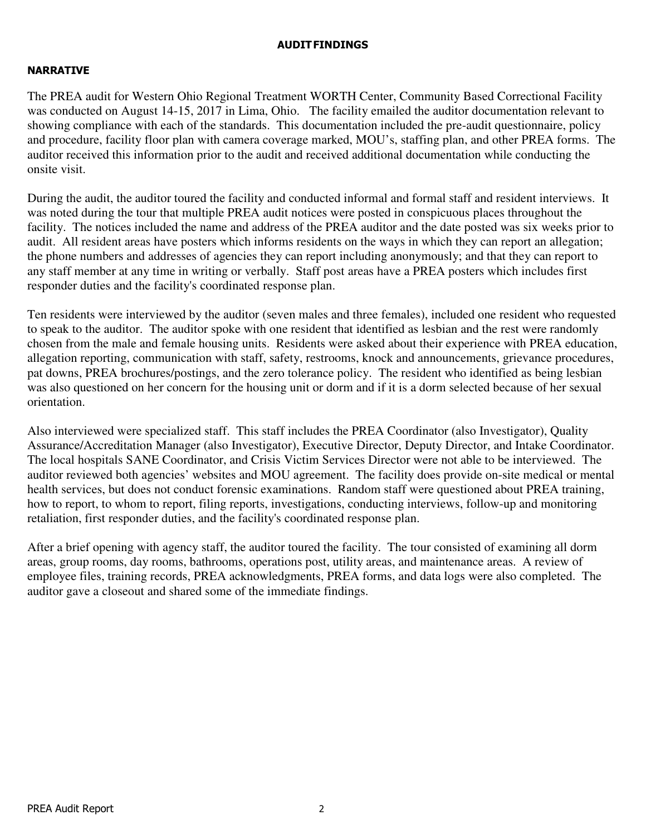### AUDIT FINDINGS

## NARRATIVE

The PREA audit for Western Ohio Regional Treatment WORTH Center, Community Based Correctional Facility was conducted on August 14-15, 2017 in Lima, Ohio. The facility emailed the auditor documentation relevant to showing compliance with each of the standards. This documentation included the pre-audit questionnaire, policy and procedure, facility floor plan with camera coverage marked, MOU's, staffing plan, and other PREA forms. The auditor received this information prior to the audit and received additional documentation while conducting the onsite visit.

During the audit, the auditor toured the facility and conducted informal and formal staff and resident interviews. It was noted during the tour that multiple PREA audit notices were posted in conspicuous places throughout the facility. The notices included the name and address of the PREA auditor and the date posted was six weeks prior to audit. All resident areas have posters which informs residents on the ways in which they can report an allegation; the phone numbers and addresses of agencies they can report including anonymously; and that they can report to any staff member at any time in writing or verbally. Staff post areas have a PREA posters which includes first responder duties and the facility's coordinated response plan.

Ten residents were interviewed by the auditor (seven males and three females), included one resident who requested to speak to the auditor. The auditor spoke with one resident that identified as lesbian and the rest were randomly chosen from the male and female housing units. Residents were asked about their experience with PREA education, allegation reporting, communication with staff, safety, restrooms, knock and announcements, grievance procedures, pat downs, PREA brochures/postings, and the zero tolerance policy. The resident who identified as being lesbian was also questioned on her concern for the housing unit or dorm and if it is a dorm selected because of her sexual orientation.

Also interviewed were specialized staff. This staff includes the PREA Coordinator (also Investigator), Quality Assurance/Accreditation Manager (also Investigator), Executive Director, Deputy Director, and Intake Coordinator. The local hospitals SANE Coordinator, and Crisis Victim Services Director were not able to be interviewed. The auditor reviewed both agencies' websites and MOU agreement. The facility does provide on-site medical or mental health services, but does not conduct forensic examinations. Random staff were questioned about PREA training, how to report, to whom to report, filing reports, investigations, conducting interviews, follow-up and monitoring retaliation, first responder duties, and the facility's coordinated response plan.

After a brief opening with agency staff, the auditor toured the facility. The tour consisted of examining all dorm areas, group rooms, day rooms, bathrooms, operations post, utility areas, and maintenance areas. A review of employee files, training records, PREA acknowledgments, PREA forms, and data logs were also completed. The auditor gave a closeout and shared some of the immediate findings.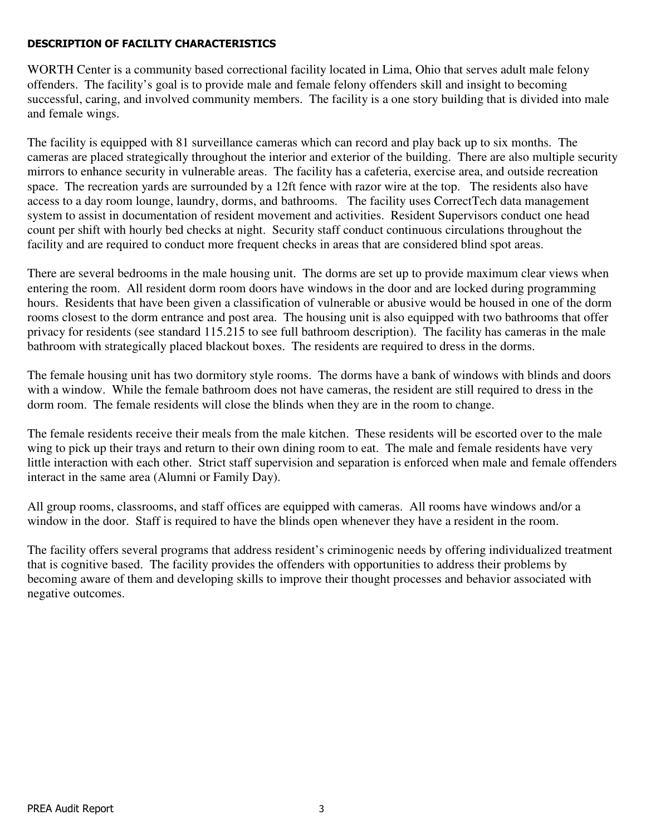## DESCRIPTION OF FACILITY CHARACTERISTICS

WORTH Center is a community based correctional facility located in Lima, Ohio that serves adult male felony offenders. The facility's goal is to provide male and female felony offenders skill and insight to becoming successful, caring, and involved community members. The facility is a one story building that is divided into male and female wings.

The facility is equipped with 81 surveillance cameras which can record and play back up to six months. The cameras are placed strategically throughout the interior and exterior of the building. There are also multiple security mirrors to enhance security in vulnerable areas. The facility has a cafeteria, exercise area, and outside recreation space. The recreation yards are surrounded by a 12ft fence with razor wire at the top. The residents also have access to a day room lounge, laundry, dorms, and bathrooms. The facility uses CorrectTech data management system to assist in documentation of resident movement and activities. Resident Supervisors conduct one head count per shift with hourly bed checks at night. Security staff conduct continuous circulations throughout the facility and are required to conduct more frequent checks in areas that are considered blind spot areas.

There are several bedrooms in the male housing unit. The dorms are set up to provide maximum clear views when entering the room. All resident dorm room doors have windows in the door and are locked during programming hours. Residents that have been given a classification of vulnerable or abusive would be housed in one of the dorm rooms closest to the dorm entrance and post area. The housing unit is also equipped with two bathrooms that offer privacy for residents (see standard 115.215 to see full bathroom description). The facility has cameras in the male bathroom with strategically placed blackout boxes. The residents are required to dress in the dorms.

The female housing unit has two dormitory style rooms. The dorms have a bank of windows with blinds and doors with a window. While the female bathroom does not have cameras, the resident are still required to dress in the dorm room. The female residents will close the blinds when they are in the room to change.

The female residents receive their meals from the male kitchen. These residents will be escorted over to the male wing to pick up their trays and return to their own dining room to eat. The male and female residents have very little interaction with each other. Strict staff supervision and separation is enforced when male and female offenders interact in the same area (Alumni or Family Day).

All group rooms, classrooms, and staff offices are equipped with cameras. All rooms have windows and/or a window in the door. Staff is required to have the blinds open whenever they have a resident in the room.

The facility offers several programs that address resident's criminogenic needs by offering individualized treatment that is cognitive based. The facility provides the offenders with opportunities to address their problems by becoming aware of them and developing skills to improve their thought processes and behavior associated with negative outcomes.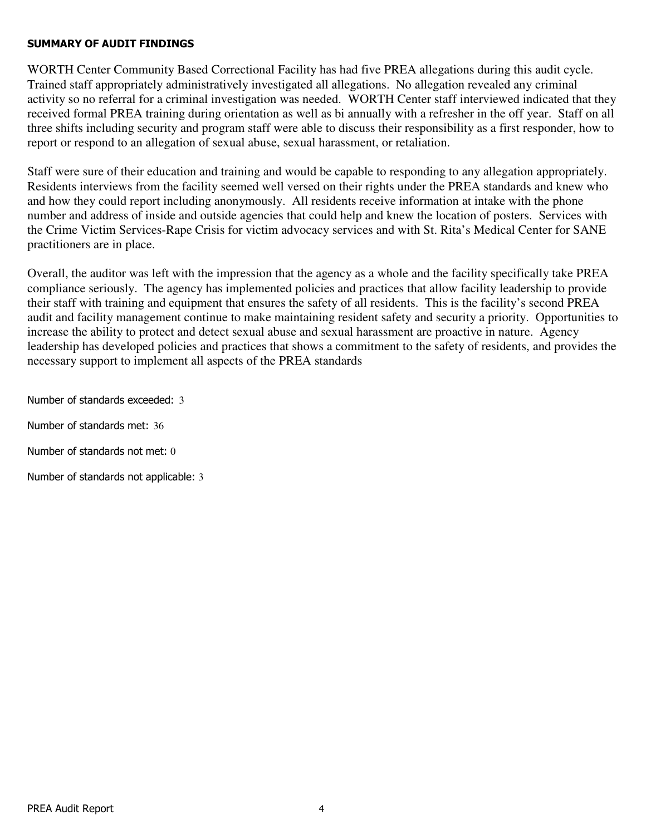### SUMMARY OF AUDIT FINDINGS

WORTH Center Community Based Correctional Facility has had five PREA allegations during this audit cycle. Trained staff appropriately administratively investigated all allegations. No allegation revealed any criminal activity so no referral for a criminal investigation was needed. WORTH Center staff interviewed indicated that they received formal PREA training during orientation as well as bi annually with a refresher in the off year. Staff on all three shifts including security and program staff were able to discuss their responsibility as a first responder, how to report or respond to an allegation of sexual abuse, sexual harassment, or retaliation.

Staff were sure of their education and training and would be capable to responding to any allegation appropriately. Residents interviews from the facility seemed well versed on their rights under the PREA standards and knew who and how they could report including anonymously. All residents receive information at intake with the phone number and address of inside and outside agencies that could help and knew the location of posters. Services with the Crime Victim Services-Rape Crisis for victim advocacy services and with St. Rita's Medical Center for SANE practitioners are in place.

Overall, the auditor was left with the impression that the agency as a whole and the facility specifically take PREA compliance seriously. The agency has implemented policies and practices that allow facility leadership to provide their staff with training and equipment that ensures the safety of all residents. This is the facility's second PREA audit and facility management continue to make maintaining resident safety and security a priority. Opportunities to increase the ability to protect and detect sexual abuse and sexual harassment are proactive in nature. Agency leadership has developed policies and practices that shows a commitment to the safety of residents, and provides the necessary support to implement all aspects of the PREA standards

Number of standards exceeded: 3

Number of standards met: 36

Number of standards not met: 0

Number of standards not applicable: 3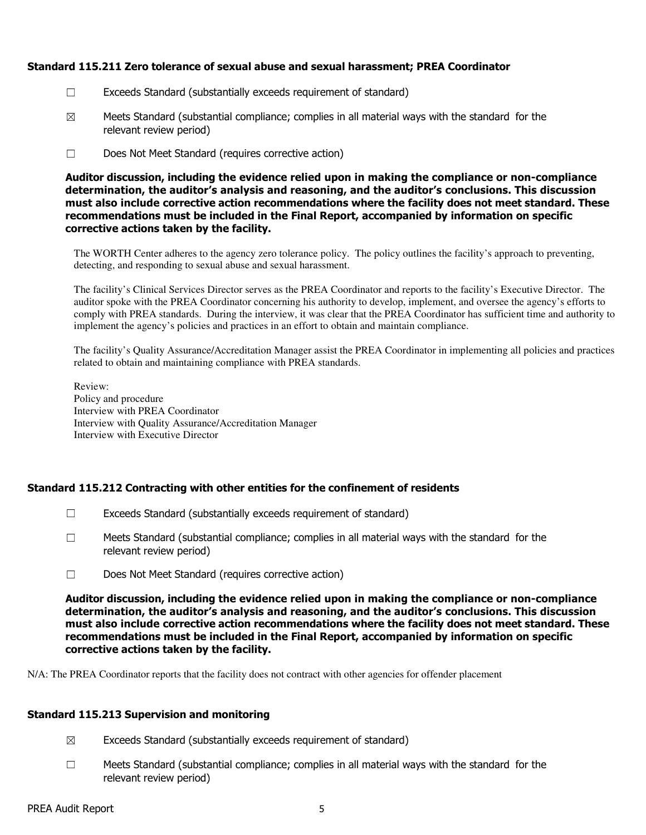### Standard 115.211 Zero tolerance of sexual abuse and sexual harassment; PREA Coordinator

- ☐ Exceeds Standard (substantially exceeds requirement of standard)
- $\boxtimes$  Meets Standard (substantial compliance; complies in all material ways with the standard for the relevant review period)
- ☐ Does Not Meet Standard (requires corrective action)

Auditor discussion, including the evidence relied upon in making the compliance or non-compliance determination, the auditor's analysis and reasoning, and the auditor's conclusions. This discussion must also include corrective action recommendations where the facility does not meet standard. These recommendations must be included in the Final Report, accompanied by information on specific corrective actions taken by the facility.

The WORTH Center adheres to the agency zero tolerance policy. The policy outlines the facility's approach to preventing, detecting, and responding to sexual abuse and sexual harassment.

The facility's Clinical Services Director serves as the PREA Coordinator and reports to the facility's Executive Director. The auditor spoke with the PREA Coordinator concerning his authority to develop, implement, and oversee the agency's efforts to comply with PREA standards. During the interview, it was clear that the PREA Coordinator has sufficient time and authority to implement the agency's policies and practices in an effort to obtain and maintain compliance.

The facility's Quality Assurance/Accreditation Manager assist the PREA Coordinator in implementing all policies and practices related to obtain and maintaining compliance with PREA standards.

Review: Policy and procedure Interview with PREA Coordinator Interview with Quality Assurance/Accreditation Manager Interview with Executive Director

## Standard 115.212 Contracting with other entities for the confinement of residents

- $\Box$  Exceeds Standard (substantially exceeds requirement of standard)
- $\Box$  Meets Standard (substantial compliance; complies in all material ways with the standard for the relevant review period)
- ☐ Does Not Meet Standard (requires corrective action)

Auditor discussion, including the evidence relied upon in making the compliance or non-compliance determination, the auditor's analysis and reasoning, and the auditor's conclusions. This discussion must also include corrective action recommendations where the facility does not meet standard. These recommendations must be included in the Final Report, accompanied by information on specific corrective actions taken by the facility.

N/A: The PREA Coordinator reports that the facility does not contract with other agencies for offender placement

## Standard 115.213 Supervision and monitoring

- $\boxtimes$  Exceeds Standard (substantially exceeds requirement of standard)
- $\Box$  Meets Standard (substantial compliance; complies in all material ways with the standard for the relevant review period)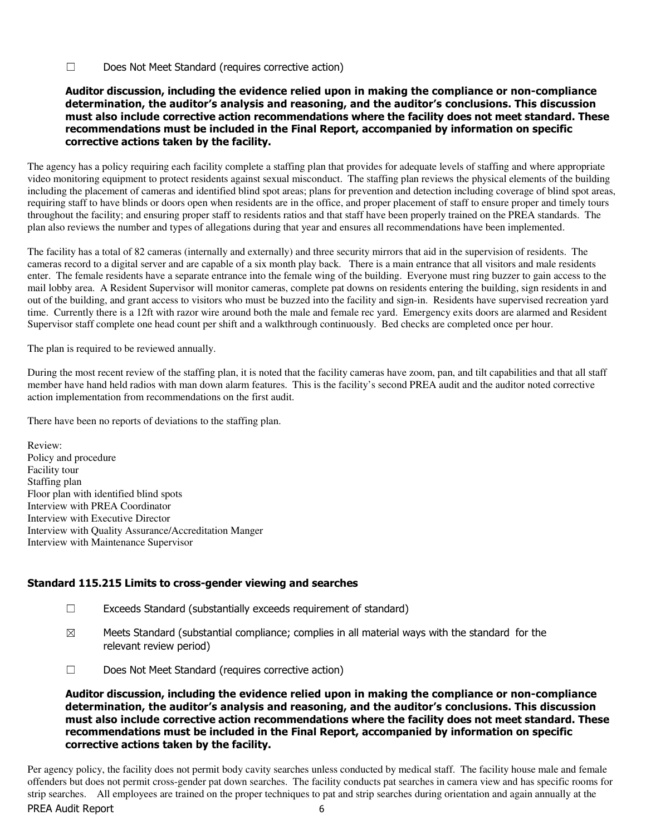☐ Does Not Meet Standard (requires corrective action)

#### Auditor discussion, including the evidence relied upon in making the compliance or non-compliance determination, the auditor's analysis and reasoning, and the auditor's conclusions. This discussion must also include corrective action recommendations where the facility does not meet standard. These recommendations must be included in the Final Report, accompanied by information on specific corrective actions taken by the facility.

The agency has a policy requiring each facility complete a staffing plan that provides for adequate levels of staffing and where appropriate video monitoring equipment to protect residents against sexual misconduct. The staffing plan reviews the physical elements of the building including the placement of cameras and identified blind spot areas; plans for prevention and detection including coverage of blind spot areas, requiring staff to have blinds or doors open when residents are in the office, and proper placement of staff to ensure proper and timely tours throughout the facility; and ensuring proper staff to residents ratios and that staff have been properly trained on the PREA standards. The plan also reviews the number and types of allegations during that year and ensures all recommendations have been implemented.

The facility has a total of 82 cameras (internally and externally) and three security mirrors that aid in the supervision of residents. The cameras record to a digital server and are capable of a six month play back. There is a main entrance that all visitors and male residents enter. The female residents have a separate entrance into the female wing of the building. Everyone must ring buzzer to gain access to the mail lobby area. A Resident Supervisor will monitor cameras, complete pat downs on residents entering the building, sign residents in and out of the building, and grant access to visitors who must be buzzed into the facility and sign-in. Residents have supervised recreation yard time. Currently there is a 12ft with razor wire around both the male and female rec yard. Emergency exits doors are alarmed and Resident Supervisor staff complete one head count per shift and a walkthrough continuously. Bed checks are completed once per hour.

The plan is required to be reviewed annually.

During the most recent review of the staffing plan, it is noted that the facility cameras have zoom, pan, and tilt capabilities and that all staff member have hand held radios with man down alarm features. This is the facility's second PREA audit and the auditor noted corrective action implementation from recommendations on the first audit.

There have been no reports of deviations to the staffing plan.

Review: Policy and procedure Facility tour Staffing plan Floor plan with identified blind spots Interview with PREA Coordinator Interview with Executive Director Interview with Quality Assurance/Accreditation Manger Interview with Maintenance Supervisor

## Standard 115.215 Limits to cross-gender viewing and searches

- ☐ Exceeds Standard (substantially exceeds requirement of standard)
- $\boxtimes$  Meets Standard (substantial compliance; complies in all material ways with the standard for the relevant review period)
- ☐ Does Not Meet Standard (requires corrective action)

Auditor discussion, including the evidence relied upon in making the compliance or non-compliance determination, the auditor's analysis and reasoning, and the auditor's conclusions. This discussion must also include corrective action recommendations where the facility does not meet standard. These recommendations must be included in the Final Report, accompanied by information on specific corrective actions taken by the facility.

Per agency policy, the facility does not permit body cavity searches unless conducted by medical staff. The facility house male and female offenders but does not permit cross-gender pat down searches. The facility conducts pat searches in camera view and has specific rooms for strip searches. All employees are trained on the proper techniques to pat and strip searches during orientation and again annually at the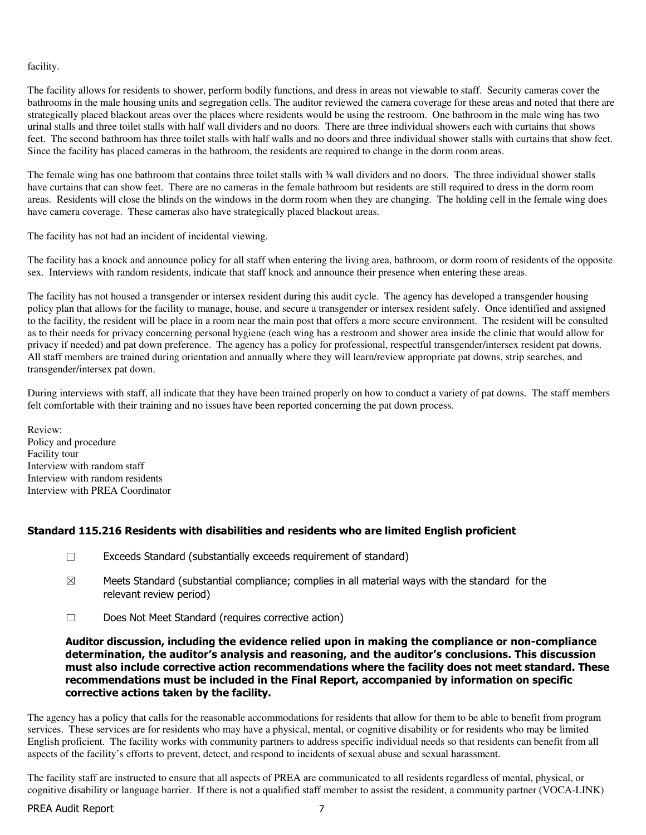facility.

The facility allows for residents to shower, perform bodily functions, and dress in areas not viewable to staff. Security cameras cover the bathrooms in the male housing units and segregation cells. The auditor reviewed the camera coverage for these areas and noted that there are strategically placed blackout areas over the places where residents would be using the restroom. One bathroom in the male wing has two urinal stalls and three toilet stalls with half wall dividers and no doors. There are three individual showers each with curtains that shows feet. The second bathroom has three toilet stalls with half walls and no doors and three individual shower stalls with curtains that show feet. Since the facility has placed cameras in the bathroom, the residents are required to change in the dorm room areas.

The female wing has one bathroom that contains three toilet stalls with ¾ wall dividers and no doors. The three individual shower stalls have curtains that can show feet. There are no cameras in the female bathroom but residents are still required to dress in the dorm room areas. Residents will close the blinds on the windows in the dorm room when they are changing. The holding cell in the female wing does have camera coverage. These cameras also have strategically placed blackout areas.

The facility has not had an incident of incidental viewing.

The facility has a knock and announce policy for all staff when entering the living area, bathroom, or dorm room of residents of the opposite sex. Interviews with random residents, indicate that staff knock and announce their presence when entering these areas.

The facility has not housed a transgender or intersex resident during this audit cycle. The agency has developed a transgender housing policy plan that allows for the facility to manage, house, and secure a transgender or intersex resident safely. Once identified and assigned to the facility, the resident will be place in a room near the main post that offers a more secure environment. The resident will be consulted as to their needs for privacy concerning personal hygiene (each wing has a restroom and shower area inside the clinic that would allow for privacy if needed) and pat down preference. The agency has a policy for professional, respectful transgender/intersex resident pat downs. All staff members are trained during orientation and annually where they will learn/review appropriate pat downs, strip searches, and transgender/intersex pat down.

During interviews with staff, all indicate that they have been trained properly on how to conduct a variety of pat downs. The staff members felt comfortable with their training and no issues have been reported concerning the pat down process.

Review: Policy and procedure Facility tour Interview with random staff Interview with random residents Interview with PREA Coordinator

### Standard 115.216 Residents with disabilities and residents who are limited English proficient

- ☐ Exceeds Standard (substantially exceeds requirement of standard)
- $\boxtimes$  Meets Standard (substantial compliance; complies in all material ways with the standard for the relevant review period)
- ☐ Does Not Meet Standard (requires corrective action)

Auditor discussion, including the evidence relied upon in making the compliance or non-compliance determination, the auditor's analysis and reasoning, and the auditor's conclusions. This discussion must also include corrective action recommendations where the facility does not meet standard. These recommendations must be included in the Final Report, accompanied by information on specific corrective actions taken by the facility.

The agency has a policy that calls for the reasonable accommodations for residents that allow for them to be able to benefit from program services. These services are for residents who may have a physical, mental, or cognitive disability or for residents who may be limited English proficient. The facility works with community partners to address specific individual needs so that residents can benefit from all aspects of the facility's efforts to prevent, detect, and respond to incidents of sexual abuse and sexual harassment.

The facility staff are instructed to ensure that all aspects of PREA are communicated to all residents regardless of mental, physical, or cognitive disability or language barrier. If there is not a qualified staff member to assist the resident, a community partner (VOCA-LINK)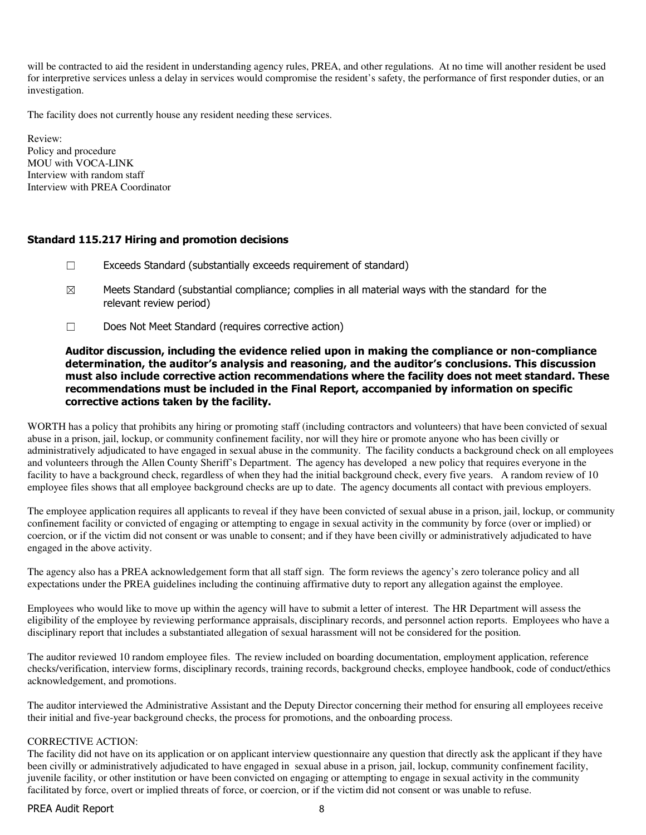will be contracted to aid the resident in understanding agency rules, PREA, and other regulations. At no time will another resident be used for interpretive services unless a delay in services would compromise the resident's safety, the performance of first responder duties, or an investigation.

The facility does not currently house any resident needing these services.

Review: Policy and procedure MOU with VOCA-LINK Interview with random staff Interview with PREA Coordinator

#### Standard 115.217 Hiring and promotion decisions

- ☐ Exceeds Standard (substantially exceeds requirement of standard)
- $\boxtimes$  Meets Standard (substantial compliance; complies in all material ways with the standard for the relevant review period)
- ☐ Does Not Meet Standard (requires corrective action)

#### Auditor discussion, including the evidence relied upon in making the compliance or non-compliance determination, the auditor's analysis and reasoning, and the auditor's conclusions. This discussion must also include corrective action recommendations where the facility does not meet standard. These recommendations must be included in the Final Report, accompanied by information on specific corrective actions taken by the facility.

WORTH has a policy that prohibits any hiring or promoting staff (including contractors and volunteers) that have been convicted of sexual abuse in a prison, jail, lockup, or community confinement facility, nor will they hire or promote anyone who has been civilly or administratively adjudicated to have engaged in sexual abuse in the community. The facility conducts a background check on all employees and volunteers through the Allen County Sheriff's Department. The agency has developed a new policy that requires everyone in the facility to have a background check, regardless of when they had the initial background check, every five years. A random review of 10 employee files shows that all employee background checks are up to date. The agency documents all contact with previous employers.

The employee application requires all applicants to reveal if they have been convicted of sexual abuse in a prison, jail, lockup, or community confinement facility or convicted of engaging or attempting to engage in sexual activity in the community by force (over or implied) or coercion, or if the victim did not consent or was unable to consent; and if they have been civilly or administratively adjudicated to have engaged in the above activity.

The agency also has a PREA acknowledgement form that all staff sign. The form reviews the agency's zero tolerance policy and all expectations under the PREA guidelines including the continuing affirmative duty to report any allegation against the employee.

Employees who would like to move up within the agency will have to submit a letter of interest. The HR Department will assess the eligibility of the employee by reviewing performance appraisals, disciplinary records, and personnel action reports. Employees who have a disciplinary report that includes a substantiated allegation of sexual harassment will not be considered for the position.

The auditor reviewed 10 random employee files. The review included on boarding documentation, employment application, reference checks/verification, interview forms, disciplinary records, training records, background checks, employee handbook, code of conduct/ethics acknowledgement, and promotions.

The auditor interviewed the Administrative Assistant and the Deputy Director concerning their method for ensuring all employees receive their initial and five-year background checks, the process for promotions, and the onboarding process.

#### CORRECTIVE ACTION:

The facility did not have on its application or on applicant interview questionnaire any question that directly ask the applicant if they have been civilly or administratively adjudicated to have engaged in sexual abuse in a prison, jail, lockup, community confinement facility, juvenile facility, or other institution or have been convicted on engaging or attempting to engage in sexual activity in the community facilitated by force, overt or implied threats of force, or coercion, or if the victim did not consent or was unable to refuse.

#### PREA Audit Report 8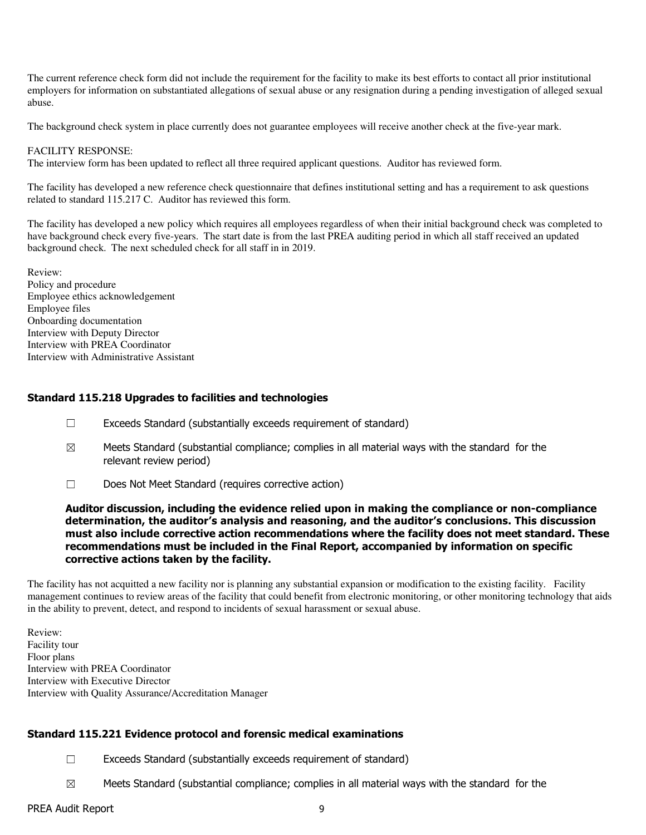The current reference check form did not include the requirement for the facility to make its best efforts to contact all prior institutional employers for information on substantiated allegations of sexual abuse or any resignation during a pending investigation of alleged sexual abuse.

The background check system in place currently does not guarantee employees will receive another check at the five-year mark.

#### FACILITY RESPONSE:

The interview form has been updated to reflect all three required applicant questions. Auditor has reviewed form.

The facility has developed a new reference check questionnaire that defines institutional setting and has a requirement to ask questions related to standard 115.217 C. Auditor has reviewed this form.

The facility has developed a new policy which requires all employees regardless of when their initial background check was completed to have background check every five-years. The start date is from the last PREA auditing period in which all staff received an updated background check. The next scheduled check for all staff in in 2019.

Review: Policy and procedure Employee ethics acknowledgement Employee files Onboarding documentation Interview with Deputy Director Interview with PREA Coordinator Interview with Administrative Assistant

## Standard 115.218 Upgrades to facilities and technologies

- ☐ Exceeds Standard (substantially exceeds requirement of standard)
- $\boxtimes$  Meets Standard (substantial compliance; complies in all material ways with the standard for the relevant review period)
- ☐ Does Not Meet Standard (requires corrective action)

#### Auditor discussion, including the evidence relied upon in making the compliance or non-compliance determination, the auditor's analysis and reasoning, and the auditor's conclusions. This discussion must also include corrective action recommendations where the facility does not meet standard. These recommendations must be included in the Final Report, accompanied by information on specific corrective actions taken by the facility.

The facility has not acquitted a new facility nor is planning any substantial expansion or modification to the existing facility. Facility management continues to review areas of the facility that could benefit from electronic monitoring, or other monitoring technology that aids in the ability to prevent, detect, and respond to incidents of sexual harassment or sexual abuse.

Review: Facility tour Floor plans Interview with PREA Coordinator Interview with Executive Director Interview with Quality Assurance/Accreditation Manager

### Standard 115.221 Evidence protocol and forensic medical examinations

- ☐ Exceeds Standard (substantially exceeds requirement of standard)
- $\boxtimes$  Meets Standard (substantial compliance; complies in all material ways with the standard for the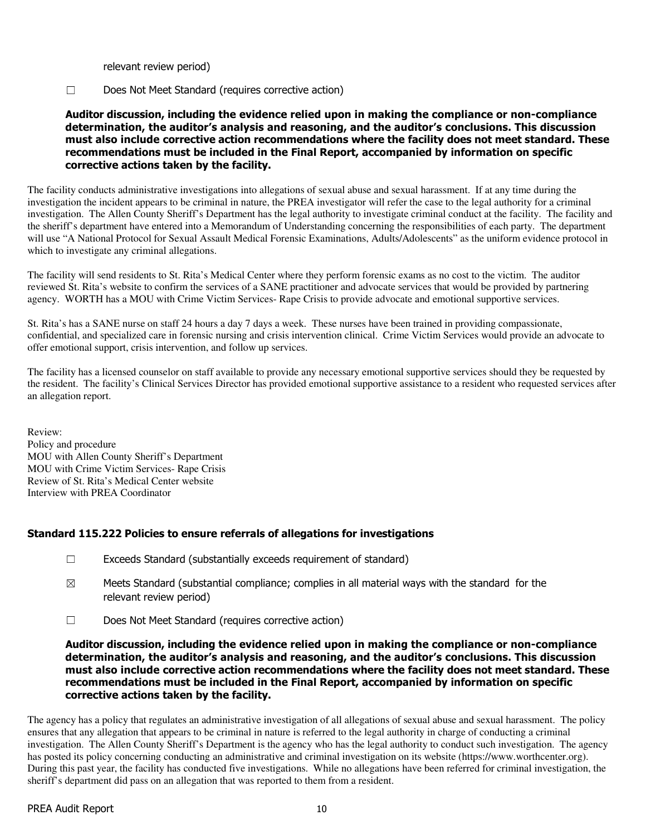relevant review period)

☐ Does Not Meet Standard (requires corrective action)

### Auditor discussion, including the evidence relied upon in making the compliance or non-compliance determination, the auditor's analysis and reasoning, and the auditor's conclusions. This discussion must also include corrective action recommendations where the facility does not meet standard. These recommendations must be included in the Final Report, accompanied by information on specific corrective actions taken by the facility.

The facility conducts administrative investigations into allegations of sexual abuse and sexual harassment. If at any time during the investigation the incident appears to be criminal in nature, the PREA investigator will refer the case to the legal authority for a criminal investigation. The Allen County Sheriff's Department has the legal authority to investigate criminal conduct at the facility. The facility and the sheriff's department have entered into a Memorandum of Understanding concerning the responsibilities of each party. The department will use "A National Protocol for Sexual Assault Medical Forensic Examinations, Adults/Adolescents" as the uniform evidence protocol in which to investigate any criminal allegations.

The facility will send residents to St. Rita's Medical Center where they perform forensic exams as no cost to the victim. The auditor reviewed St. Rita's website to confirm the services of a SANE practitioner and advocate services that would be provided by partnering agency. WORTH has a MOU with Crime Victim Services- Rape Crisis to provide advocate and emotional supportive services.

St. Rita's has a SANE nurse on staff 24 hours a day 7 days a week. These nurses have been trained in providing compassionate, confidential, and specialized care in forensic nursing and crisis intervention clinical. Crime Victim Services would provide an advocate to offer emotional support, crisis intervention, and follow up services.

The facility has a licensed counselor on staff available to provide any necessary emotional supportive services should they be requested by the resident. The facility's Clinical Services Director has provided emotional supportive assistance to a resident who requested services after an allegation report.

Review: Policy and procedure MOU with Allen County Sheriff's Department MOU with Crime Victim Services- Rape Crisis Review of St. Rita's Medical Center website Interview with PREA Coordinator

### Standard 115.222 Policies to ensure referrals of allegations for investigations

- $\Box$  Exceeds Standard (substantially exceeds requirement of standard)
- $\boxtimes$  Meets Standard (substantial compliance; complies in all material ways with the standard for the relevant review period)
- ☐ Does Not Meet Standard (requires corrective action)

#### Auditor discussion, including the evidence relied upon in making the compliance or non-compliance determination, the auditor's analysis and reasoning, and the auditor's conclusions. This discussion must also include corrective action recommendations where the facility does not meet standard. These recommendations must be included in the Final Report, accompanied by information on specific corrective actions taken by the facility.

The agency has a policy that regulates an administrative investigation of all allegations of sexual abuse and sexual harassment. The policy ensures that any allegation that appears to be criminal in nature is referred to the legal authority in charge of conducting a criminal investigation. The Allen County Sheriff's Department is the agency who has the legal authority to conduct such investigation. The agency has posted its policy concerning conducting an administrative and criminal investigation on its website (https://www.worthcenter.org). During this past year, the facility has conducted five investigations. While no allegations have been referred for criminal investigation, the sheriff's department did pass on an allegation that was reported to them from a resident.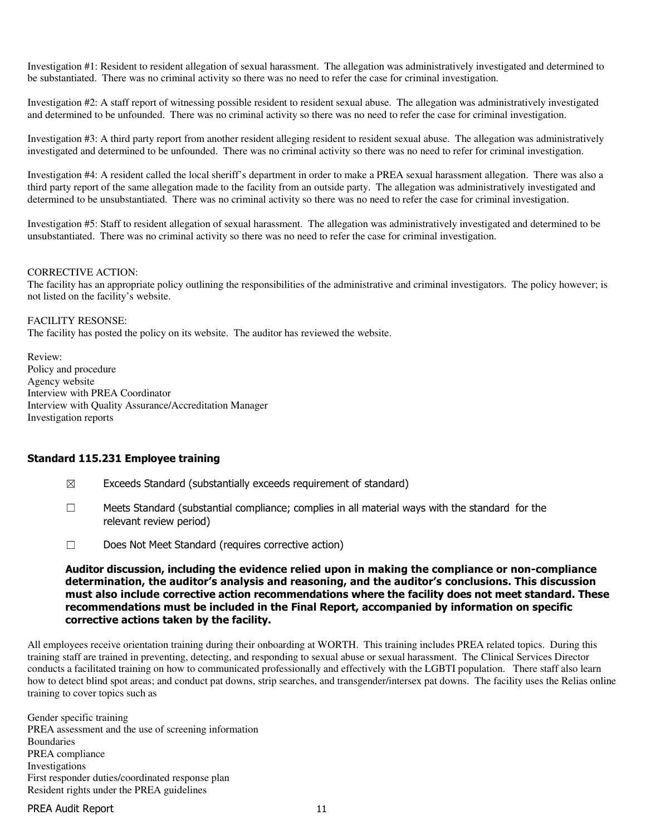Investigation #1: Resident to resident allegation of sexual harassment. The allegation was administratively investigated and determined to be substantiated. There was no criminal activity so there was no need to refer the case for criminal investigation.

Investigation #2: A staff report of witnessing possible resident to resident sexual abuse. The allegation was administratively investigated and determined to be unfounded. There was no criminal activity so there was no need to refer the case for criminal investigation.

Investigation #3: A third party report from another resident alleging resident to resident sexual abuse. The allegation was administratively investigated and determined to be unfounded. There was no criminal activity so there was no need to refer for criminal investigation.

Investigation #4: A resident called the local sheriff's department in order to make a PREA sexual harassment allegation. There was also a third party report of the same allegation made to the facility from an outside party. The allegation was administratively investigated and determined to be unsubstantiated. There was no criminal activity so there was no need to refer the case for criminal investigation.

Investigation #5: Staff to resident allegation of sexual harassment. The allegation was administratively investigated and determined to be unsubstantiated. There was no criminal activity so there was no need to refer the case for criminal investigation.

#### CORRECTIVE ACTION:

The facility has an appropriate policy outlining the responsibilities of the administrative and criminal investigators. The policy however; is not listed on the facility's website.

#### FACILITY RESONSE:

The facility has posted the policy on its website. The auditor has reviewed the website.

Review: Policy and procedure Agency website Interview with PREA Coordinator Interview with Quality Assurance/Accreditation Manager Investigation reports

#### Standard 115.231 Employee training

- $\boxtimes$  Exceeds Standard (substantially exceeds requirement of standard)
- ☐ Meets Standard (substantial compliance; complies in all material ways with the standard for the relevant review period)
- ☐ Does Not Meet Standard (requires corrective action)

#### Auditor discussion, including the evidence relied upon in making the compliance or non-compliance determination, the auditor's analysis and reasoning, and the auditor's conclusions. This discussion must also include corrective action recommendations where the facility does not meet standard. These recommendations must be included in the Final Report, accompanied by information on specific corrective actions taken by the facility.

All employees receive orientation training during their onboarding at WORTH. This training includes PREA related topics. During this training staff are trained in preventing, detecting, and responding to sexual abuse or sexual harassment. The Clinical Services Director conducts a facilitated training on how to communicated professionally and effectively with the LGBTI population. There staff also learn how to detect blind spot areas; and conduct pat downs, strip searches, and transgender/intersex pat downs. The facility uses the Relias online training to cover topics such as

Gender specific training PREA assessment and the use of screening information Boundaries PREA compliance Investigations First responder duties/coordinated response plan Resident rights under the PREA guidelines

#### PREA Audit Report 11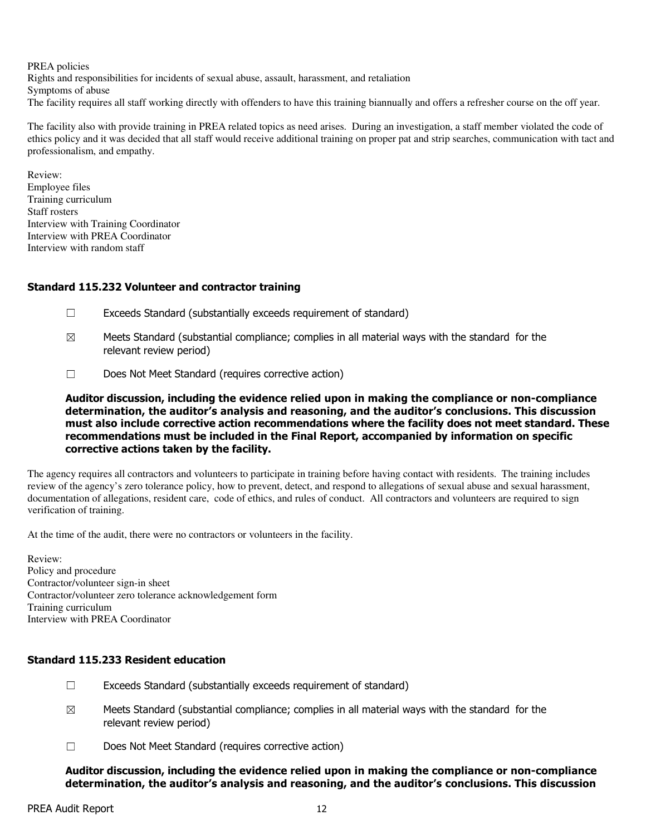PREA policies Rights and responsibilities for incidents of sexual abuse, assault, harassment, and retaliation Symptoms of abuse The facility requires all staff working directly with offenders to have this training biannually and offers a refresher course on the off year.

The facility also with provide training in PREA related topics as need arises. During an investigation, a staff member violated the code of ethics policy and it was decided that all staff would receive additional training on proper pat and strip searches, communication with tact and professionalism, and empathy.

Review: Employee files Training curriculum Staff rosters Interview with Training Coordinator Interview with PREA Coordinator Interview with random staff

## Standard 115.232 Volunteer and contractor training

- ☐ Exceeds Standard (substantially exceeds requirement of standard)
- $\boxtimes$  Meets Standard (substantial compliance; complies in all material ways with the standard for the relevant review period)
- ☐ Does Not Meet Standard (requires corrective action)

Auditor discussion, including the evidence relied upon in making the compliance or non-compliance determination, the auditor's analysis and reasoning, and the auditor's conclusions. This discussion must also include corrective action recommendations where the facility does not meet standard. These recommendations must be included in the Final Report, accompanied by information on specific corrective actions taken by the facility.

The agency requires all contractors and volunteers to participate in training before having contact with residents. The training includes review of the agency's zero tolerance policy, how to prevent, detect, and respond to allegations of sexual abuse and sexual harassment, documentation of allegations, resident care, code of ethics, and rules of conduct. All contractors and volunteers are required to sign verification of training.

At the time of the audit, there were no contractors or volunteers in the facility.

Review: Policy and procedure Contractor/volunteer sign-in sheet Contractor/volunteer zero tolerance acknowledgement form Training curriculum Interview with PREA Coordinator

### Standard 115.233 Resident education

- $\Box$  Exceeds Standard (substantially exceeds requirement of standard)
- $\boxtimes$  Meets Standard (substantial compliance; complies in all material ways with the standard for the relevant review period)
- ☐ Does Not Meet Standard (requires corrective action)

Auditor discussion, including the evidence relied upon in making the compliance or non-compliance determination, the auditor's analysis and reasoning, and the auditor's conclusions. This discussion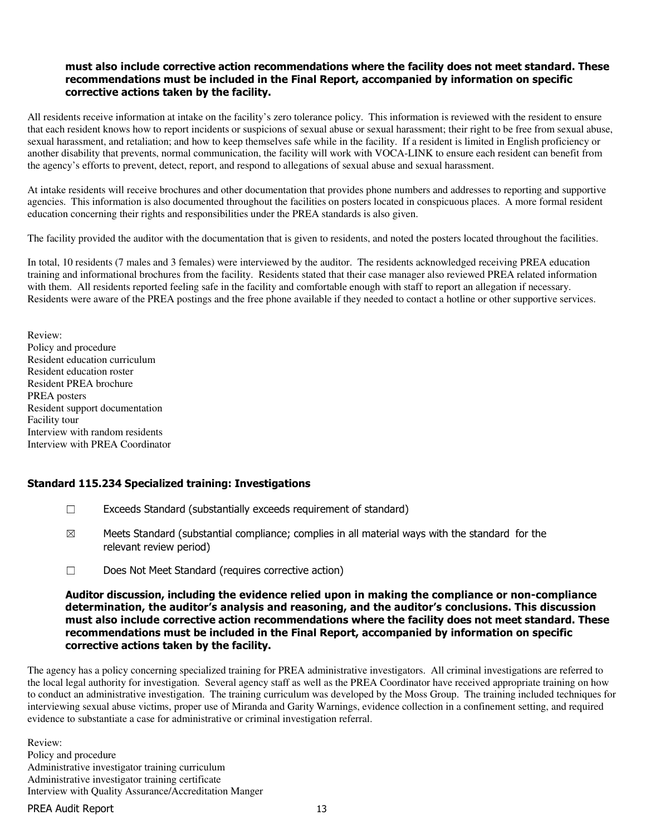#### must also include corrective action recommendations where the facility does not meet standard. These recommendations must be included in the Final Report, accompanied by information on specific corrective actions taken by the facility.

All residents receive information at intake on the facility's zero tolerance policy. This information is reviewed with the resident to ensure that each resident knows how to report incidents or suspicions of sexual abuse or sexual harassment; their right to be free from sexual abuse, sexual harassment, and retaliation; and how to keep themselves safe while in the facility. If a resident is limited in English proficiency or another disability that prevents, normal communication, the facility will work with VOCA-LINK to ensure each resident can benefit from the agency's efforts to prevent, detect, report, and respond to allegations of sexual abuse and sexual harassment.

At intake residents will receive brochures and other documentation that provides phone numbers and addresses to reporting and supportive agencies. This information is also documented throughout the facilities on posters located in conspicuous places. A more formal resident education concerning their rights and responsibilities under the PREA standards is also given.

The facility provided the auditor with the documentation that is given to residents, and noted the posters located throughout the facilities.

In total, 10 residents (7 males and 3 females) were interviewed by the auditor. The residents acknowledged receiving PREA education training and informational brochures from the facility. Residents stated that their case manager also reviewed PREA related information with them. All residents reported feeling safe in the facility and comfortable enough with staff to report an allegation if necessary. Residents were aware of the PREA postings and the free phone available if they needed to contact a hotline or other supportive services.

Review: Policy and procedure Resident education curriculum Resident education roster Resident PREA brochure PREA posters Resident support documentation Facility tour Interview with random residents Interview with PREA Coordinator

### Standard 115.234 Specialized training: Investigations

- $\Box$  Exceeds Standard (substantially exceeds requirement of standard)
- $\boxtimes$  Meets Standard (substantial compliance; complies in all material ways with the standard for the relevant review period)
- ☐ Does Not Meet Standard (requires corrective action)

#### Auditor discussion, including the evidence relied upon in making the compliance or non-compliance determination, the auditor's analysis and reasoning, and the auditor's conclusions. This discussion must also include corrective action recommendations where the facility does not meet standard. These recommendations must be included in the Final Report, accompanied by information on specific corrective actions taken by the facility.

The agency has a policy concerning specialized training for PREA administrative investigators. All criminal investigations are referred to the local legal authority for investigation. Several agency staff as well as the PREA Coordinator have received appropriate training on how to conduct an administrative investigation. The training curriculum was developed by the Moss Group. The training included techniques for interviewing sexual abuse victims, proper use of Miranda and Garity Warnings, evidence collection in a confinement setting, and required evidence to substantiate a case for administrative or criminal investigation referral.

Review: Policy and procedure Administrative investigator training curriculum Administrative investigator training certificate Interview with Quality Assurance/Accreditation Manger

PREA Audit Report 13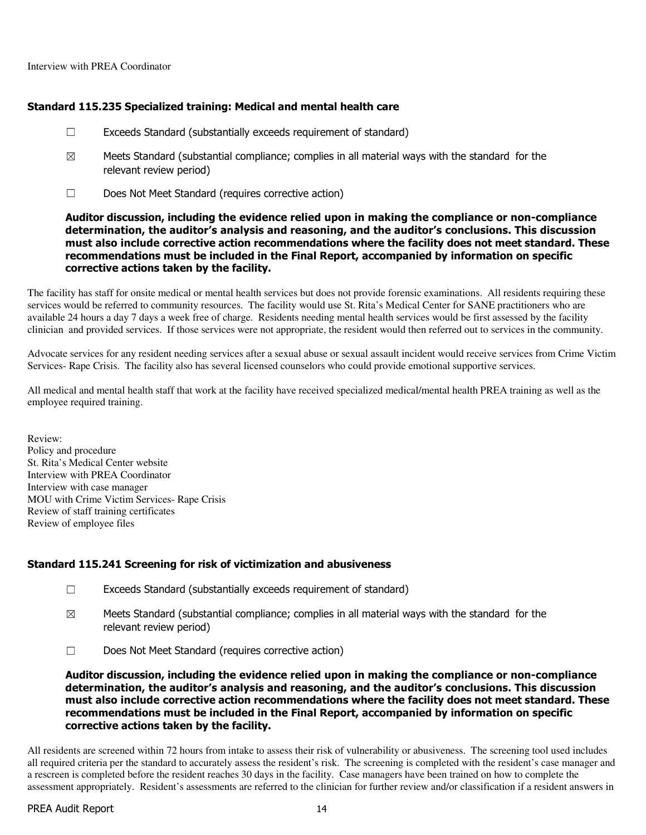#### Standard 115.235 Specialized training: Medical and mental health care

- $\Box$  Exceeds Standard (substantially exceeds requirement of standard)
- $\boxtimes$  Meets Standard (substantial compliance; complies in all material ways with the standard for the relevant review period)
- ☐ Does Not Meet Standard (requires corrective action)

#### Auditor discussion, including the evidence relied upon in making the compliance or non-compliance determination, the auditor's analysis and reasoning, and the auditor's conclusions. This discussion must also include corrective action recommendations where the facility does not meet standard. These recommendations must be included in the Final Report, accompanied by information on specific corrective actions taken by the facility.

The facility has staff for onsite medical or mental health services but does not provide forensic examinations. All residents requiring these services would be referred to community resources. The facility would use St. Rita's Medical Center for SANE practitioners who are available 24 hours a day 7 days a week free of charge. Residents needing mental health services would be first assessed by the facility clinician and provided services. If those services were not appropriate, the resident would then referred out to services in the community.

Advocate services for any resident needing services after a sexual abuse or sexual assault incident would receive services from Crime Victim Services- Rape Crisis. The facility also has several licensed counselors who could provide emotional supportive services.

All medical and mental health staff that work at the facility have received specialized medical/mental health PREA training as well as the employee required training.

Review: Policy and procedure St. Rita's Medical Center website Interview with PREA Coordinator Interview with case manager MOU with Crime Victim Services- Rape Crisis Review of staff training certificates Review of employee files

#### Standard 115.241 Screening for risk of victimization and abusiveness

- ☐ Exceeds Standard (substantially exceeds requirement of standard)
- $\boxtimes$  Meets Standard (substantial compliance; complies in all material ways with the standard for the relevant review period)
- ☐ Does Not Meet Standard (requires corrective action)

Auditor discussion, including the evidence relied upon in making the compliance or non-compliance determination, the auditor's analysis and reasoning, and the auditor's conclusions. This discussion must also include corrective action recommendations where the facility does not meet standard. These recommendations must be included in the Final Report, accompanied by information on specific corrective actions taken by the facility.

All residents are screened within 72 hours from intake to assess their risk of vulnerability or abusiveness. The screening tool used includes all required criteria per the standard to accurately assess the resident's risk. The screening is completed with the resident's case manager and a rescreen is completed before the resident reaches 30 days in the facility. Case managers have been trained on how to complete the assessment appropriately. Resident's assessments are referred to the clinician for further review and/or classification if a resident answers in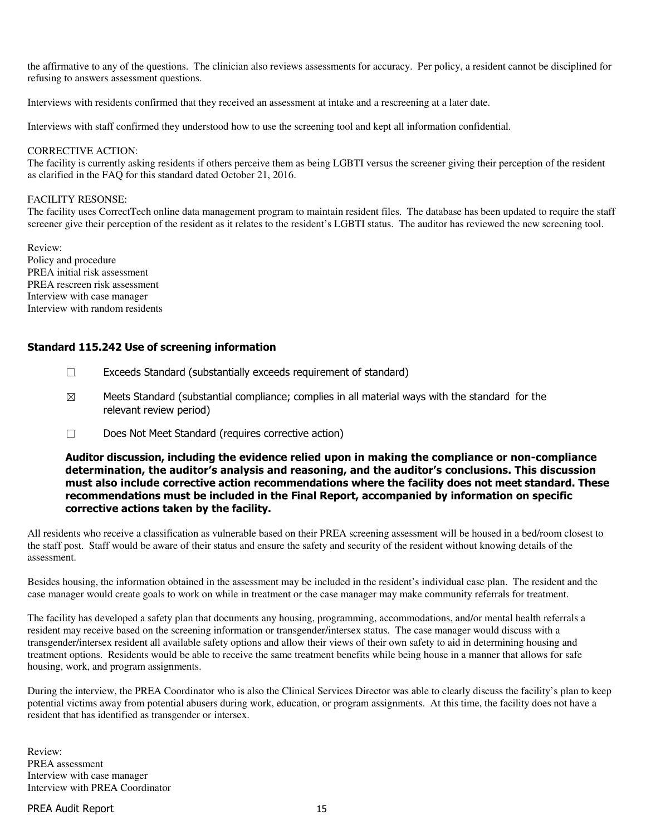the affirmative to any of the questions. The clinician also reviews assessments for accuracy. Per policy, a resident cannot be disciplined for refusing to answers assessment questions.

Interviews with residents confirmed that they received an assessment at intake and a rescreening at a later date.

Interviews with staff confirmed they understood how to use the screening tool and kept all information confidential.

#### CORRECTIVE ACTION:

The facility is currently asking residents if others perceive them as being LGBTI versus the screener giving their perception of the resident as clarified in the FAQ for this standard dated October 21, 2016.

#### FACILITY RESONSE:

The facility uses CorrectTech online data management program to maintain resident files. The database has been updated to require the staff screener give their perception of the resident as it relates to the resident's LGBTI status. The auditor has reviewed the new screening tool.

Review: Policy and procedure PREA initial risk assessment PREA rescreen risk assessment Interview with case manager Interview with random residents

#### Standard 115.242 Use of screening information

- $\Box$  Exceeds Standard (substantially exceeds requirement of standard)
- $\boxtimes$  Meets Standard (substantial compliance; complies in all material ways with the standard for the relevant review period)
- ☐ Does Not Meet Standard (requires corrective action)

#### Auditor discussion, including the evidence relied upon in making the compliance or non-compliance determination, the auditor's analysis and reasoning, and the auditor's conclusions. This discussion must also include corrective action recommendations where the facility does not meet standard. These recommendations must be included in the Final Report, accompanied by information on specific corrective actions taken by the facility.

All residents who receive a classification as vulnerable based on their PREA screening assessment will be housed in a bed/room closest to the staff post. Staff would be aware of their status and ensure the safety and security of the resident without knowing details of the assessment.

Besides housing, the information obtained in the assessment may be included in the resident's individual case plan. The resident and the case manager would create goals to work on while in treatment or the case manager may make community referrals for treatment.

The facility has developed a safety plan that documents any housing, programming, accommodations, and/or mental health referrals a resident may receive based on the screening information or transgender/intersex status. The case manager would discuss with a transgender/intersex resident all available safety options and allow their views of their own safety to aid in determining housing and treatment options. Residents would be able to receive the same treatment benefits while being house in a manner that allows for safe housing, work, and program assignments.

During the interview, the PREA Coordinator who is also the Clinical Services Director was able to clearly discuss the facility's plan to keep potential victims away from potential abusers during work, education, or program assignments. At this time, the facility does not have a resident that has identified as transgender or intersex.

Review: PREA assessment Interview with case manager Interview with PREA Coordinator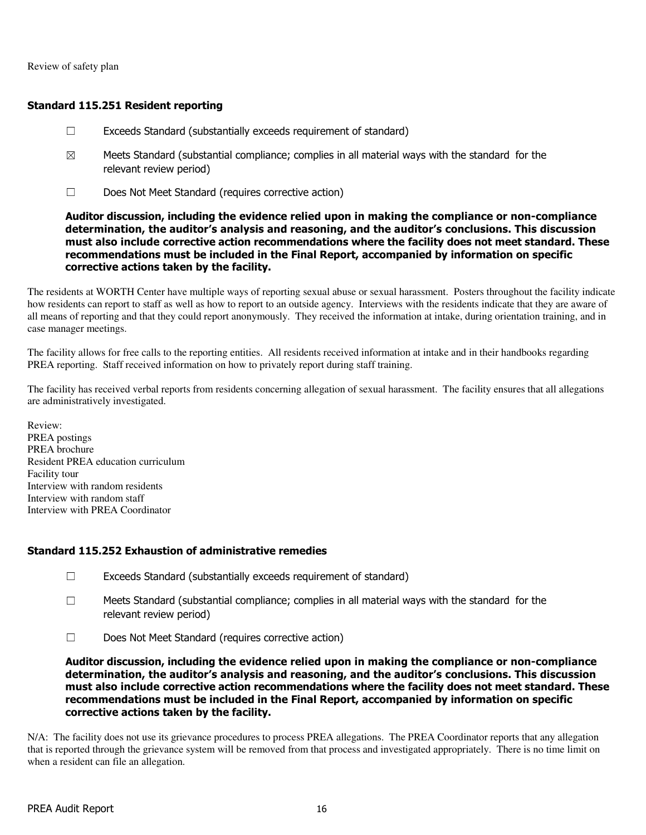Review of safety plan

### Standard 115.251 Resident reporting

- $\Box$  Exceeds Standard (substantially exceeds requirement of standard)
- $\boxtimes$  Meets Standard (substantial compliance; complies in all material ways with the standard for the relevant review period)
- ☐ Does Not Meet Standard (requires corrective action)

#### Auditor discussion, including the evidence relied upon in making the compliance or non-compliance determination, the auditor's analysis and reasoning, and the auditor's conclusions. This discussion must also include corrective action recommendations where the facility does not meet standard. These recommendations must be included in the Final Report, accompanied by information on specific corrective actions taken by the facility.

The residents at WORTH Center have multiple ways of reporting sexual abuse or sexual harassment. Posters throughout the facility indicate how residents can report to staff as well as how to report to an outside agency. Interviews with the residents indicate that they are aware of all means of reporting and that they could report anonymously. They received the information at intake, during orientation training, and in case manager meetings.

The facility allows for free calls to the reporting entities. All residents received information at intake and in their handbooks regarding PREA reporting. Staff received information on how to privately report during staff training.

The facility has received verbal reports from residents concerning allegation of sexual harassment. The facility ensures that all allegations are administratively investigated.

Review: PREA postings PREA brochure Resident PREA education curriculum Facility tour Interview with random residents Interview with random staff Interview with PREA Coordinator

### Standard 115.252 Exhaustion of administrative remedies

- $\Box$  Exceeds Standard (substantially exceeds requirement of standard)
- $\Box$  Meets Standard (substantial compliance; complies in all material ways with the standard for the relevant review period)
- ☐ Does Not Meet Standard (requires corrective action)

Auditor discussion, including the evidence relied upon in making the compliance or non-compliance determination, the auditor's analysis and reasoning, and the auditor's conclusions. This discussion must also include corrective action recommendations where the facility does not meet standard. These recommendations must be included in the Final Report, accompanied by information on specific corrective actions taken by the facility.

N/A: The facility does not use its grievance procedures to process PREA allegations. The PREA Coordinator reports that any allegation that is reported through the grievance system will be removed from that process and investigated appropriately. There is no time limit on when a resident can file an allegation.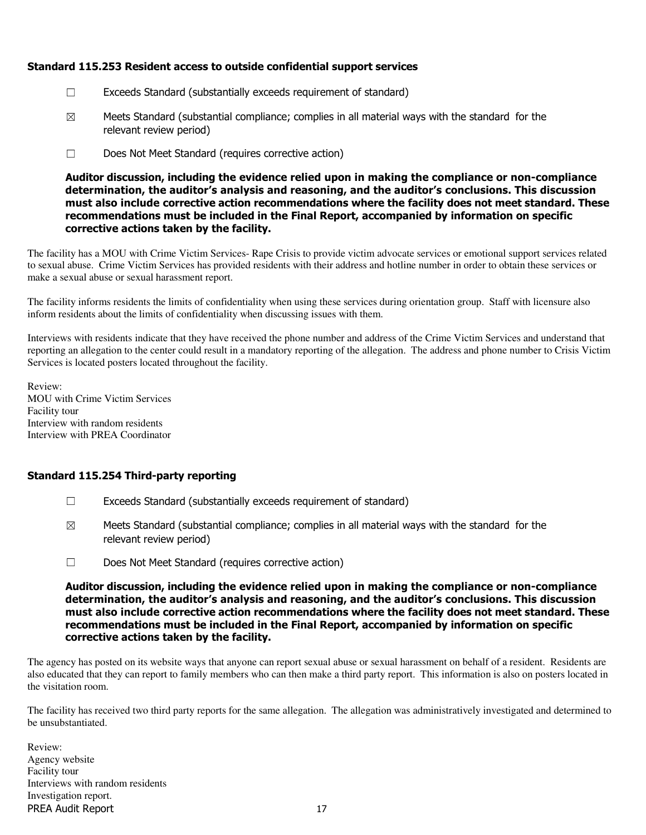### Standard 115.253 Resident access to outside confidential support services

- ☐ Exceeds Standard (substantially exceeds requirement of standard)
- $\boxtimes$  Meets Standard (substantial compliance; complies in all material ways with the standard for the relevant review period)
- ☐ Does Not Meet Standard (requires corrective action)

Auditor discussion, including the evidence relied upon in making the compliance or non-compliance determination, the auditor's analysis and reasoning, and the auditor's conclusions. This discussion must also include corrective action recommendations where the facility does not meet standard. These recommendations must be included in the Final Report, accompanied by information on specific corrective actions taken by the facility.

The facility has a MOU with Crime Victim Services- Rape Crisis to provide victim advocate services or emotional support services related to sexual abuse. Crime Victim Services has provided residents with their address and hotline number in order to obtain these services or make a sexual abuse or sexual harassment report.

The facility informs residents the limits of confidentiality when using these services during orientation group. Staff with licensure also inform residents about the limits of confidentiality when discussing issues with them.

Interviews with residents indicate that they have received the phone number and address of the Crime Victim Services and understand that reporting an allegation to the center could result in a mandatory reporting of the allegation. The address and phone number to Crisis Victim Services is located posters located throughout the facility.

Review: MOU with Crime Victim Services Facility tour Interview with random residents Interview with PREA Coordinator

### Standard 115.254 Third-party reporting

- $\Box$  Exceeds Standard (substantially exceeds requirement of standard)
- $\boxtimes$  Meets Standard (substantial compliance; complies in all material ways with the standard for the relevant review period)
- ☐ Does Not Meet Standard (requires corrective action)

Auditor discussion, including the evidence relied upon in making the compliance or non-compliance determination, the auditor's analysis and reasoning, and the auditor's conclusions. This discussion must also include corrective action recommendations where the facility does not meet standard. These recommendations must be included in the Final Report, accompanied by information on specific corrective actions taken by the facility.

The agency has posted on its website ways that anyone can report sexual abuse or sexual harassment on behalf of a resident. Residents are also educated that they can report to family members who can then make a third party report. This information is also on posters located in the visitation room.

The facility has received two third party reports for the same allegation. The allegation was administratively investigated and determined to be unsubstantiated.

PREA Audit Report 17 Review: Agency website Facility tour Interviews with random residents Investigation report.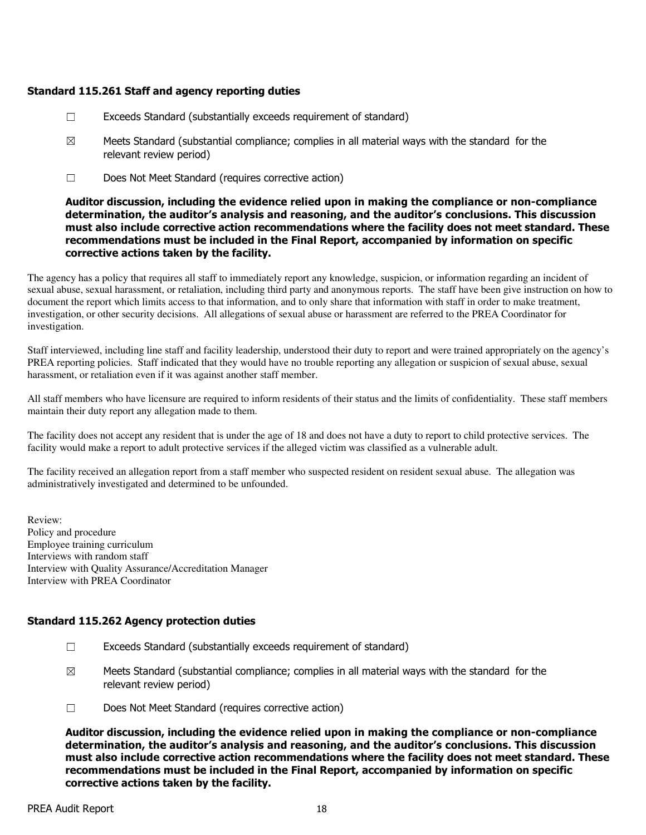### Standard 115.261 Staff and agency reporting duties

- ☐ Exceeds Standard (substantially exceeds requirement of standard)
- $\boxtimes$  Meets Standard (substantial compliance; complies in all material ways with the standard for the relevant review period)
- ☐ Does Not Meet Standard (requires corrective action)

#### Auditor discussion, including the evidence relied upon in making the compliance or non-compliance determination, the auditor's analysis and reasoning, and the auditor's conclusions. This discussion must also include corrective action recommendations where the facility does not meet standard. These recommendations must be included in the Final Report, accompanied by information on specific corrective actions taken by the facility.

The agency has a policy that requires all staff to immediately report any knowledge, suspicion, or information regarding an incident of sexual abuse, sexual harassment, or retaliation, including third party and anonymous reports. The staff have been give instruction on how to document the report which limits access to that information, and to only share that information with staff in order to make treatment, investigation, or other security decisions. All allegations of sexual abuse or harassment are referred to the PREA Coordinator for investigation.

Staff interviewed, including line staff and facility leadership, understood their duty to report and were trained appropriately on the agency's PREA reporting policies. Staff indicated that they would have no trouble reporting any allegation or suspicion of sexual abuse, sexual harassment, or retaliation even if it was against another staff member.

All staff members who have licensure are required to inform residents of their status and the limits of confidentiality. These staff members maintain their duty report any allegation made to them.

The facility does not accept any resident that is under the age of 18 and does not have a duty to report to child protective services. The facility would make a report to adult protective services if the alleged victim was classified as a vulnerable adult.

The facility received an allegation report from a staff member who suspected resident on resident sexual abuse. The allegation was administratively investigated and determined to be unfounded.

Review: Policy and procedure Employee training curriculum Interviews with random staff Interview with Quality Assurance/Accreditation Manager Interview with PREA Coordinator

### Standard 115.262 Agency protection duties

- $\Box$  Exceeds Standard (substantially exceeds requirement of standard)
- $\boxtimes$  Meets Standard (substantial compliance; complies in all material ways with the standard for the relevant review period)
- ☐ Does Not Meet Standard (requires corrective action)

Auditor discussion, including the evidence relied upon in making the compliance or non-compliance determination, the auditor's analysis and reasoning, and the auditor's conclusions. This discussion must also include corrective action recommendations where the facility does not meet standard. These recommendations must be included in the Final Report, accompanied by information on specific corrective actions taken by the facility.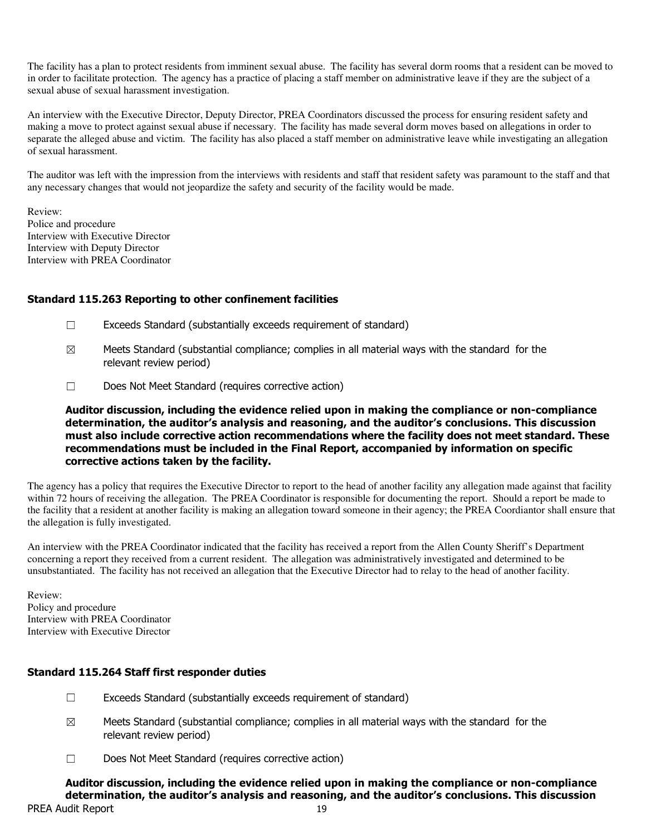The facility has a plan to protect residents from imminent sexual abuse. The facility has several dorm rooms that a resident can be moved to in order to facilitate protection. The agency has a practice of placing a staff member on administrative leave if they are the subject of a sexual abuse of sexual harassment investigation.

An interview with the Executive Director, Deputy Director, PREA Coordinators discussed the process for ensuring resident safety and making a move to protect against sexual abuse if necessary. The facility has made several dorm moves based on allegations in order to separate the alleged abuse and victim. The facility has also placed a staff member on administrative leave while investigating an allegation of sexual harassment.

The auditor was left with the impression from the interviews with residents and staff that resident safety was paramount to the staff and that any necessary changes that would not jeopardize the safety and security of the facility would be made.

Review: Police and procedure Interview with Executive Director Interview with Deputy Director Interview with PREA Coordinator

### Standard 115.263 Reporting to other confinement facilities

- ☐ Exceeds Standard (substantially exceeds requirement of standard)
- $\boxtimes$  Meets Standard (substantial compliance; complies in all material ways with the standard for the relevant review period)
- ☐ Does Not Meet Standard (requires corrective action)

#### Auditor discussion, including the evidence relied upon in making the compliance or non-compliance determination, the auditor's analysis and reasoning, and the auditor's conclusions. This discussion must also include corrective action recommendations where the facility does not meet standard. These recommendations must be included in the Final Report, accompanied by information on specific corrective actions taken by the facility.

The agency has a policy that requires the Executive Director to report to the head of another facility any allegation made against that facility within 72 hours of receiving the allegation. The PREA Coordinator is responsible for documenting the report. Should a report be made to the facility that a resident at another facility is making an allegation toward someone in their agency; the PREA Coordiantor shall ensure that the allegation is fully investigated.

An interview with the PREA Coordinator indicated that the facility has received a report from the Allen County Sheriff's Department concerning a report they received from a current resident. The allegation was administratively investigated and determined to be unsubstantiated. The facility has not received an allegation that the Executive Director had to relay to the head of another facility.

Review: Policy and procedure Interview with PREA Coordinator Interview with Executive Director

### Standard 115.264 Staff first responder duties

- $\Box$  Exceeds Standard (substantially exceeds requirement of standard)
- $\boxtimes$  Meets Standard (substantial compliance; complies in all material ways with the standard for the relevant review period)
- ☐ Does Not Meet Standard (requires corrective action)

PREA Audit Report 19 Auditor discussion, including the evidence relied upon in making the compliance or non-compliance determination, the auditor's analysis and reasoning, and the auditor's conclusions. This discussion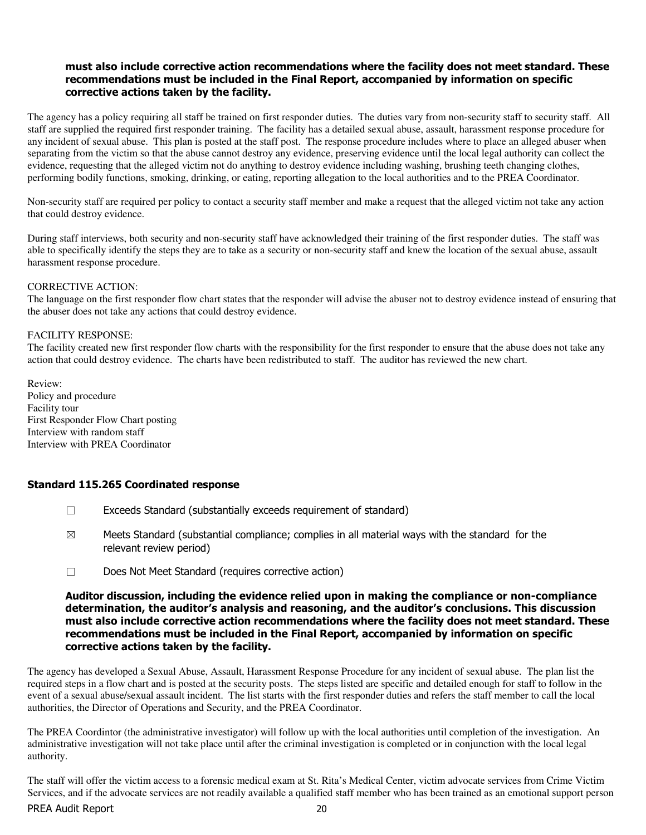#### must also include corrective action recommendations where the facility does not meet standard. These recommendations must be included in the Final Report, accompanied by information on specific corrective actions taken by the facility.

The agency has a policy requiring all staff be trained on first responder duties. The duties vary from non-security staff to security staff. All staff are supplied the required first responder training. The facility has a detailed sexual abuse, assault, harassment response procedure for any incident of sexual abuse. This plan is posted at the staff post. The response procedure includes where to place an alleged abuser when separating from the victim so that the abuse cannot destroy any evidence, preserving evidence until the local legal authority can collect the evidence, requesting that the alleged victim not do anything to destroy evidence including washing, brushing teeth changing clothes, performing bodily functions, smoking, drinking, or eating, reporting allegation to the local authorities and to the PREA Coordinator.

Non-security staff are required per policy to contact a security staff member and make a request that the alleged victim not take any action that could destroy evidence.

During staff interviews, both security and non-security staff have acknowledged their training of the first responder duties. The staff was able to specifically identify the steps they are to take as a security or non-security staff and knew the location of the sexual abuse, assault harassment response procedure.

#### CORRECTIVE ACTION:

The language on the first responder flow chart states that the responder will advise the abuser not to destroy evidence instead of ensuring that the abuser does not take any actions that could destroy evidence.

#### FACILITY RESPONSE:

The facility created new first responder flow charts with the responsibility for the first responder to ensure that the abuse does not take any action that could destroy evidence. The charts have been redistributed to staff. The auditor has reviewed the new chart.

Review: Policy and procedure Facility tour First Responder Flow Chart posting Interview with random staff Interview with PREA Coordinator

#### Standard 115.265 Coordinated response

- ☐ Exceeds Standard (substantially exceeds requirement of standard)
- $\boxtimes$  Meets Standard (substantial compliance; complies in all material ways with the standard for the relevant review period)
- ☐ Does Not Meet Standard (requires corrective action)

#### Auditor discussion, including the evidence relied upon in making the compliance or non-compliance determination, the auditor's analysis and reasoning, and the auditor's conclusions. This discussion must also include corrective action recommendations where the facility does not meet standard. These recommendations must be included in the Final Report, accompanied by information on specific corrective actions taken by the facility.

The agency has developed a Sexual Abuse, Assault, Harassment Response Procedure for any incident of sexual abuse. The plan list the required steps in a flow chart and is posted at the security posts. The steps listed are specific and detailed enough for staff to follow in the event of a sexual abuse/sexual assault incident. The list starts with the first responder duties and refers the staff member to call the local authorities, the Director of Operations and Security, and the PREA Coordinator.

The PREA Coordintor (the administrative investigator) will follow up with the local authorities until completion of the investigation. An administrative investigation will not take place until after the criminal investigation is completed or in conjunction with the local legal authority.

The staff will offer the victim access to a forensic medical exam at St. Rita's Medical Center, victim advocate services from Crime Victim Services, and if the advocate services are not readily available a qualified staff member who has been trained as an emotional support person

#### PREA Audit Report 20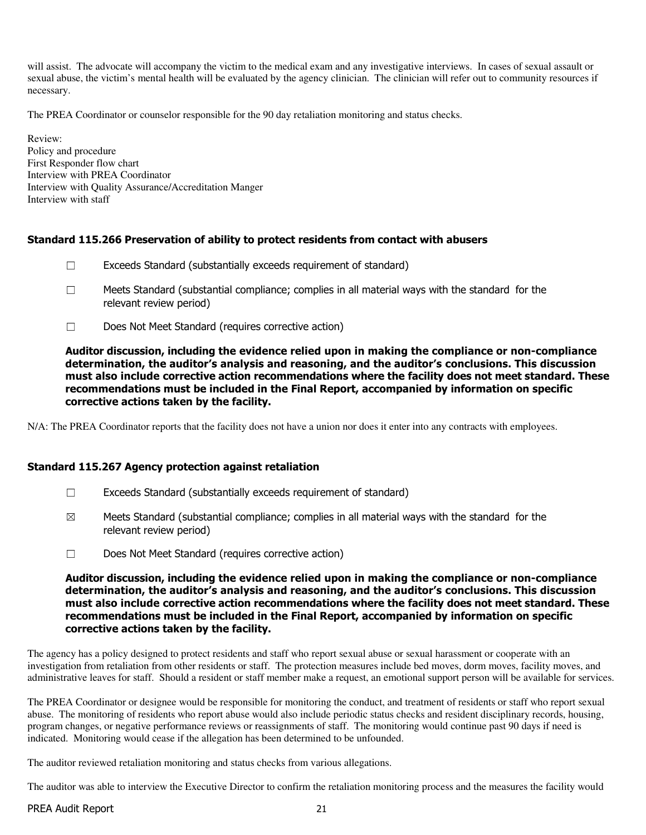will assist. The advocate will accompany the victim to the medical exam and any investigative interviews. In cases of sexual assault or sexual abuse, the victim's mental health will be evaluated by the agency clinician. The clinician will refer out to community resources if necessary.

The PREA Coordinator or counselor responsible for the 90 day retaliation monitoring and status checks.

Review: Policy and procedure First Responder flow chart Interview with PREA Coordinator Interview with Quality Assurance/Accreditation Manger Interview with staff

#### Standard 115.266 Preservation of ability to protect residents from contact with abusers

- ☐ Exceeds Standard (substantially exceeds requirement of standard)
- $\Box$  Meets Standard (substantial compliance; complies in all material ways with the standard for the relevant review period)
- ☐ Does Not Meet Standard (requires corrective action)

Auditor discussion, including the evidence relied upon in making the compliance or non-compliance determination, the auditor's analysis and reasoning, and the auditor's conclusions. This discussion must also include corrective action recommendations where the facility does not meet standard. These recommendations must be included in the Final Report, accompanied by information on specific corrective actions taken by the facility.

N/A: The PREA Coordinator reports that the facility does not have a union nor does it enter into any contracts with employees.

#### Standard 115.267 Agency protection against retaliation

- $\Box$  Exceeds Standard (substantially exceeds requirement of standard)
- $\boxtimes$  Meets Standard (substantial compliance; complies in all material ways with the standard for the relevant review period)
- ☐ Does Not Meet Standard (requires corrective action)

Auditor discussion, including the evidence relied upon in making the compliance or non-compliance determination, the auditor's analysis and reasoning, and the auditor's conclusions. This discussion must also include corrective action recommendations where the facility does not meet standard. These recommendations must be included in the Final Report, accompanied by information on specific corrective actions taken by the facility.

The agency has a policy designed to protect residents and staff who report sexual abuse or sexual harassment or cooperate with an investigation from retaliation from other residents or staff. The protection measures include bed moves, dorm moves, facility moves, and administrative leaves for staff. Should a resident or staff member make a request, an emotional support person will be available for services.

The PREA Coordinator or designee would be responsible for monitoring the conduct, and treatment of residents or staff who report sexual abuse. The monitoring of residents who report abuse would also include periodic status checks and resident disciplinary records, housing, program changes, or negative performance reviews or reassignments of staff. The monitoring would continue past 90 days if need is indicated. Monitoring would cease if the allegation has been determined to be unfounded.

The auditor reviewed retaliation monitoring and status checks from various allegations.

The auditor was able to interview the Executive Director to confirm the retaliation monitoring process and the measures the facility would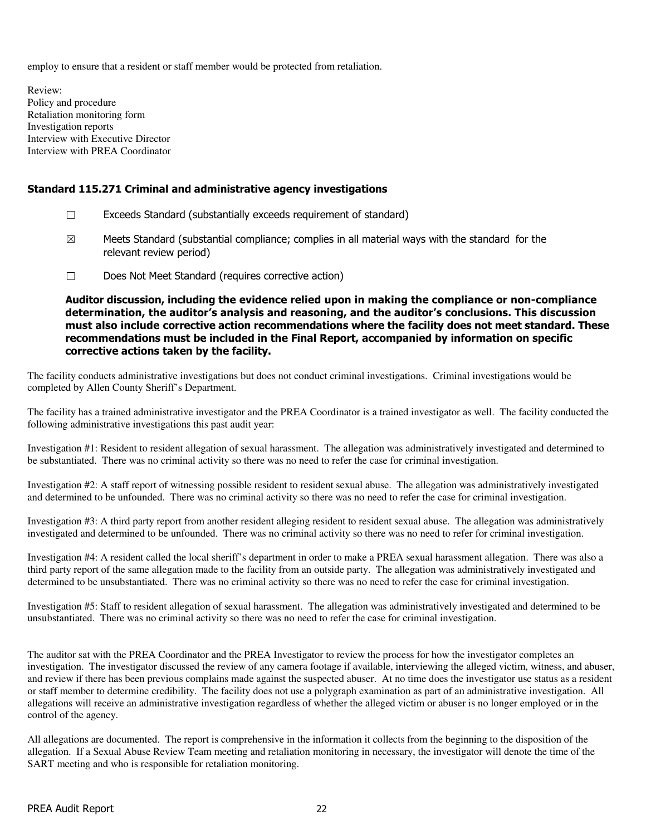employ to ensure that a resident or staff member would be protected from retaliation.

Review: Policy and procedure Retaliation monitoring form Investigation reports Interview with Executive Director Interview with PREA Coordinator

#### Standard 115.271 Criminal and administrative agency investigations

- ☐ Exceeds Standard (substantially exceeds requirement of standard)
- $\boxtimes$  Meets Standard (substantial compliance; complies in all material ways with the standard for the relevant review period)
- ☐ Does Not Meet Standard (requires corrective action)

Auditor discussion, including the evidence relied upon in making the compliance or non-compliance determination, the auditor's analysis and reasoning, and the auditor's conclusions. This discussion must also include corrective action recommendations where the facility does not meet standard. These recommendations must be included in the Final Report, accompanied by information on specific corrective actions taken by the facility.

The facility conducts administrative investigations but does not conduct criminal investigations. Criminal investigations would be completed by Allen County Sheriff's Department.

The facility has a trained administrative investigator and the PREA Coordinator is a trained investigator as well. The facility conducted the following administrative investigations this past audit year:

Investigation #1: Resident to resident allegation of sexual harassment. The allegation was administratively investigated and determined to be substantiated. There was no criminal activity so there was no need to refer the case for criminal investigation.

Investigation #2: A staff report of witnessing possible resident to resident sexual abuse. The allegation was administratively investigated and determined to be unfounded. There was no criminal activity so there was no need to refer the case for criminal investigation.

Investigation #3: A third party report from another resident alleging resident to resident sexual abuse. The allegation was administratively investigated and determined to be unfounded. There was no criminal activity so there was no need to refer for criminal investigation.

Investigation #4: A resident called the local sheriff's department in order to make a PREA sexual harassment allegation. There was also a third party report of the same allegation made to the facility from an outside party. The allegation was administratively investigated and determined to be unsubstantiated. There was no criminal activity so there was no need to refer the case for criminal investigation.

Investigation #5: Staff to resident allegation of sexual harassment. The allegation was administratively investigated and determined to be unsubstantiated. There was no criminal activity so there was no need to refer the case for criminal investigation.

The auditor sat with the PREA Coordinator and the PREA Investigator to review the process for how the investigator completes an investigation. The investigator discussed the review of any camera footage if available, interviewing the alleged victim, witness, and abuser, and review if there has been previous complains made against the suspected abuser. At no time does the investigator use status as a resident or staff member to determine credibility. The facility does not use a polygraph examination as part of an administrative investigation. All allegations will receive an administrative investigation regardless of whether the alleged victim or abuser is no longer employed or in the control of the agency.

All allegations are documented. The report is comprehensive in the information it collects from the beginning to the disposition of the allegation. If a Sexual Abuse Review Team meeting and retaliation monitoring in necessary, the investigator will denote the time of the SART meeting and who is responsible for retaliation monitoring.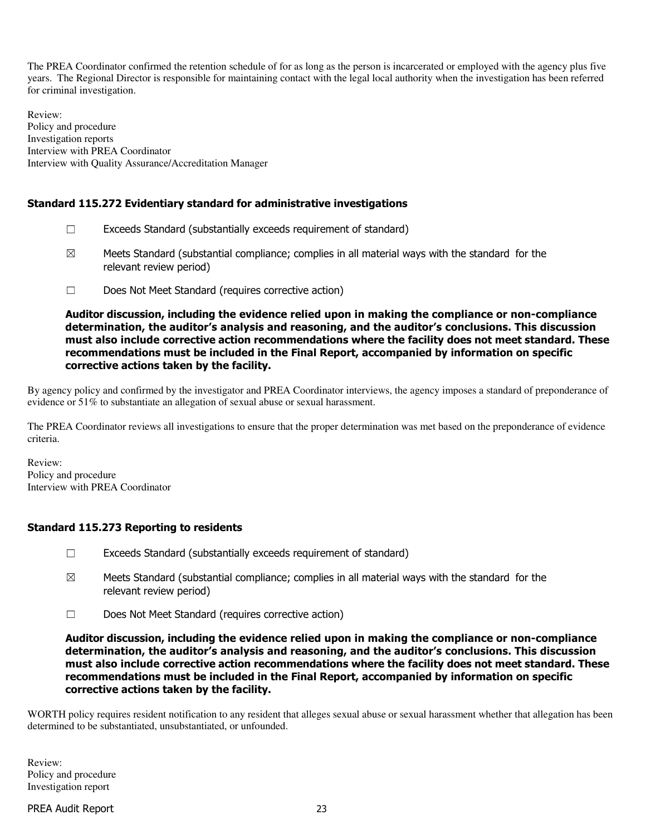The PREA Coordinator confirmed the retention schedule of for as long as the person is incarcerated or employed with the agency plus five years. The Regional Director is responsible for maintaining contact with the legal local authority when the investigation has been referred for criminal investigation.

Review: Policy and procedure Investigation reports Interview with PREA Coordinator Interview with Quality Assurance/Accreditation Manager

## Standard 115.272 Evidentiary standard for administrative investigations

- $\Box$  Exceeds Standard (substantially exceeds requirement of standard)
- $\boxtimes$  Meets Standard (substantial compliance; complies in all material ways with the standard for the relevant review period)
- ☐ Does Not Meet Standard (requires corrective action)

Auditor discussion, including the evidence relied upon in making the compliance or non-compliance determination, the auditor's analysis and reasoning, and the auditor's conclusions. This discussion must also include corrective action recommendations where the facility does not meet standard. These recommendations must be included in the Final Report, accompanied by information on specific corrective actions taken by the facility.

By agency policy and confirmed by the investigator and PREA Coordinator interviews, the agency imposes a standard of preponderance of evidence or 51% to substantiate an allegation of sexual abuse or sexual harassment.

The PREA Coordinator reviews all investigations to ensure that the proper determination was met based on the preponderance of evidence criteria.

Review: Policy and procedure Interview with PREA Coordinator

### Standard 115.273 Reporting to residents

- ☐ Exceeds Standard (substantially exceeds requirement of standard)
- $\boxtimes$  Meets Standard (substantial compliance; complies in all material ways with the standard for the relevant review period)
- ☐ Does Not Meet Standard (requires corrective action)

Auditor discussion, including the evidence relied upon in making the compliance or non-compliance determination, the auditor's analysis and reasoning, and the auditor's conclusions. This discussion must also include corrective action recommendations where the facility does not meet standard. These recommendations must be included in the Final Report, accompanied by information on specific corrective actions taken by the facility.

WORTH policy requires resident notification to any resident that alleges sexual abuse or sexual harassment whether that allegation has been determined to be substantiated, unsubstantiated, or unfounded.

Review: Policy and procedure Investigation report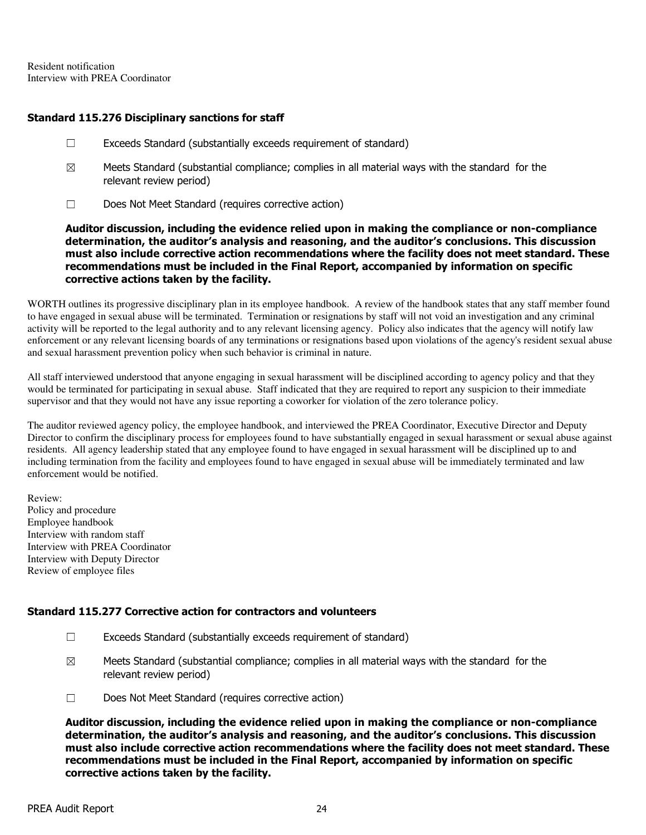Resident notification Interview with PREA Coordinator

#### Standard 115.276 Disciplinary sanctions for staff

- $\Box$  Exceeds Standard (substantially exceeds requirement of standard)
- $\boxtimes$  Meets Standard (substantial compliance; complies in all material ways with the standard for the relevant review period)
- ☐ Does Not Meet Standard (requires corrective action)

Auditor discussion, including the evidence relied upon in making the compliance or non-compliance determination, the auditor's analysis and reasoning, and the auditor's conclusions. This discussion must also include corrective action recommendations where the facility does not meet standard. These recommendations must be included in the Final Report, accompanied by information on specific corrective actions taken by the facility.

WORTH outlines its progressive disciplinary plan in its employee handbook. A review of the handbook states that any staff member found to have engaged in sexual abuse will be terminated. Termination or resignations by staff will not void an investigation and any criminal activity will be reported to the legal authority and to any relevant licensing agency. Policy also indicates that the agency will notify law enforcement or any relevant licensing boards of any terminations or resignations based upon violations of the agency's resident sexual abuse and sexual harassment prevention policy when such behavior is criminal in nature.

All staff interviewed understood that anyone engaging in sexual harassment will be disciplined according to agency policy and that they would be terminated for participating in sexual abuse. Staff indicated that they are required to report any suspicion to their immediate supervisor and that they would not have any issue reporting a coworker for violation of the zero tolerance policy.

The auditor reviewed agency policy, the employee handbook, and interviewed the PREA Coordinator, Executive Director and Deputy Director to confirm the disciplinary process for employees found to have substantially engaged in sexual harassment or sexual abuse against residents. All agency leadership stated that any employee found to have engaged in sexual harassment will be disciplined up to and including termination from the facility and employees found to have engaged in sexual abuse will be immediately terminated and law enforcement would be notified.

Review: Policy and procedure Employee handbook Interview with random staff Interview with PREA Coordinator Interview with Deputy Director Review of employee files

### Standard 115.277 Corrective action for contractors and volunteers

- ☐ Exceeds Standard (substantially exceeds requirement of standard)
- $\boxtimes$  Meets Standard (substantial compliance; complies in all material ways with the standard for the relevant review period)
- ☐ Does Not Meet Standard (requires corrective action)

Auditor discussion, including the evidence relied upon in making the compliance or non-compliance determination, the auditor's analysis and reasoning, and the auditor's conclusions. This discussion must also include corrective action recommendations where the facility does not meet standard. These recommendations must be included in the Final Report, accompanied by information on specific corrective actions taken by the facility.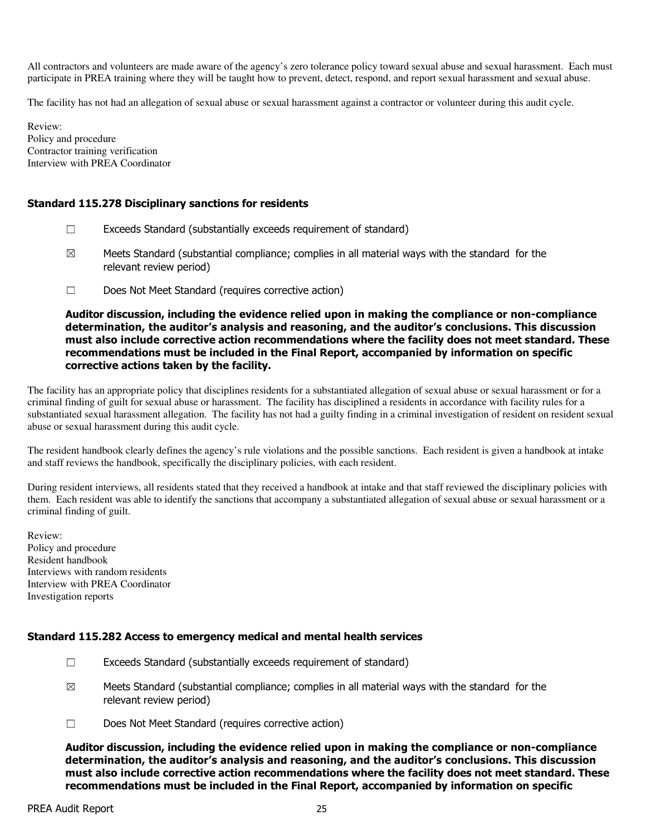All contractors and volunteers are made aware of the agency's zero tolerance policy toward sexual abuse and sexual harassment. Each must participate in PREA training where they will be taught how to prevent, detect, respond, and report sexual harassment and sexual abuse.

The facility has not had an allegation of sexual abuse or sexual harassment against a contractor or volunteer during this audit cycle.

Review: Policy and procedure Contractor training verification Interview with PREA Coordinator

#### Standard 115.278 Disciplinary sanctions for residents

- $\Box$  Exceeds Standard (substantially exceeds requirement of standard)
- $\boxtimes$  Meets Standard (substantial compliance; complies in all material ways with the standard for the relevant review period)
- ☐ Does Not Meet Standard (requires corrective action)

Auditor discussion, including the evidence relied upon in making the compliance or non-compliance determination, the auditor's analysis and reasoning, and the auditor's conclusions. This discussion must also include corrective action recommendations where the facility does not meet standard. These recommendations must be included in the Final Report, accompanied by information on specific corrective actions taken by the facility.

The facility has an appropriate policy that disciplines residents for a substantiated allegation of sexual abuse or sexual harassment or for a criminal finding of guilt for sexual abuse or harassment. The facility has disciplined a residents in accordance with facility rules for a substantiated sexual harassment allegation. The facility has not had a guilty finding in a criminal investigation of resident on resident sexual abuse or sexual harassment during this audit cycle.

The resident handbook clearly defines the agency's rule violations and the possible sanctions. Each resident is given a handbook at intake and staff reviews the handbook, specifically the disciplinary policies, with each resident.

During resident interviews, all residents stated that they received a handbook at intake and that staff reviewed the disciplinary policies with them. Each resident was able to identify the sanctions that accompany a substantiated allegation of sexual abuse or sexual harassment or a criminal finding of guilt.

Review: Policy and procedure Resident handbook Interviews with random residents Interview with PREA Coordinator Investigation reports

#### Standard 115.282 Access to emergency medical and mental health services

- ☐ Exceeds Standard (substantially exceeds requirement of standard)
- $\boxtimes$  Meets Standard (substantial compliance; complies in all material ways with the standard for the relevant review period)
- ☐ Does Not Meet Standard (requires corrective action)

Auditor discussion, including the evidence relied upon in making the compliance or non-compliance determination, the auditor's analysis and reasoning, and the auditor's conclusions. This discussion must also include corrective action recommendations where the facility does not meet standard. These recommendations must be included in the Final Report, accompanied by information on specific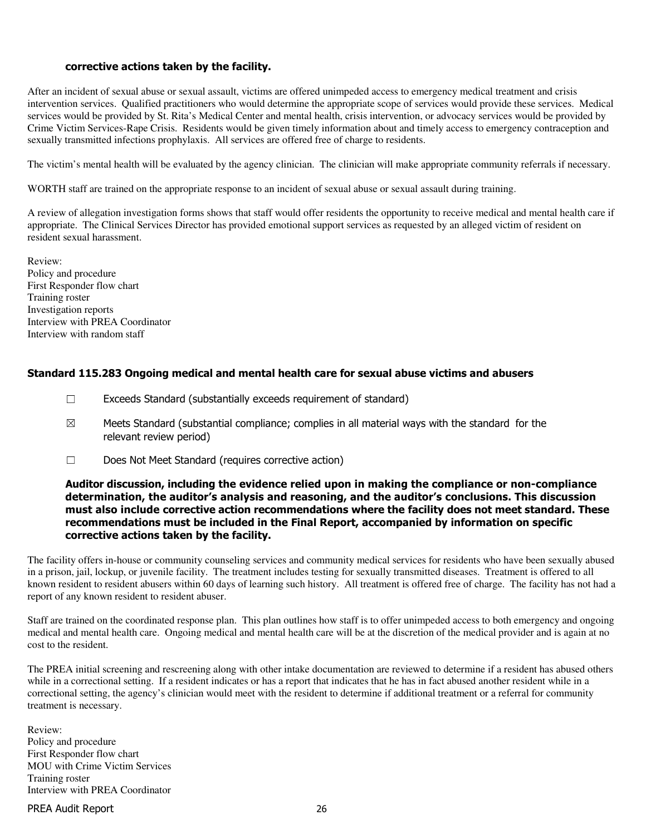#### corrective actions taken by the facility.

After an incident of sexual abuse or sexual assault, victims are offered unimpeded access to emergency medical treatment and crisis intervention services. Qualified practitioners who would determine the appropriate scope of services would provide these services. Medical services would be provided by St. Rita's Medical Center and mental health, crisis intervention, or advocacy services would be provided by Crime Victim Services-Rape Crisis. Residents would be given timely information about and timely access to emergency contraception and sexually transmitted infections prophylaxis. All services are offered free of charge to residents.

The victim's mental health will be evaluated by the agency clinician. The clinician will make appropriate community referrals if necessary.

WORTH staff are trained on the appropriate response to an incident of sexual abuse or sexual assault during training.

A review of allegation investigation forms shows that staff would offer residents the opportunity to receive medical and mental health care if appropriate. The Clinical Services Director has provided emotional support services as requested by an alleged victim of resident on resident sexual harassment.

Review: Policy and procedure First Responder flow chart Training roster Investigation reports Interview with PREA Coordinator Interview with random staff

#### Standard 115.283 Ongoing medical and mental health care for sexual abuse victims and abusers

- ☐ Exceeds Standard (substantially exceeds requirement of standard)
- $\boxtimes$  Meets Standard (substantial compliance; complies in all material ways with the standard for the relevant review period)
- ☐ Does Not Meet Standard (requires corrective action)

#### Auditor discussion, including the evidence relied upon in making the compliance or non-compliance determination, the auditor's analysis and reasoning, and the auditor's conclusions. This discussion must also include corrective action recommendations where the facility does not meet standard. These recommendations must be included in the Final Report, accompanied by information on specific corrective actions taken by the facility.

The facility offers in-house or community counseling services and community medical services for residents who have been sexually abused in a prison, jail, lockup, or juvenile facility. The treatment includes testing for sexually transmitted diseases. Treatment is offered to all known resident to resident abusers within 60 days of learning such history. All treatment is offered free of charge. The facility has not had a report of any known resident to resident abuser.

Staff are trained on the coordinated response plan. This plan outlines how staff is to offer unimpeded access to both emergency and ongoing medical and mental health care. Ongoing medical and mental health care will be at the discretion of the medical provider and is again at no cost to the resident.

The PREA initial screening and rescreening along with other intake documentation are reviewed to determine if a resident has abused others while in a correctional setting. If a resident indicates or has a report that indicates that he has in fact abused another resident while in a correctional setting, the agency's clinician would meet with the resident to determine if additional treatment or a referral for community treatment is necessary.

Review: Policy and procedure First Responder flow chart MOU with Crime Victim Services Training roster Interview with PREA Coordinator

#### PREA Audit Report 26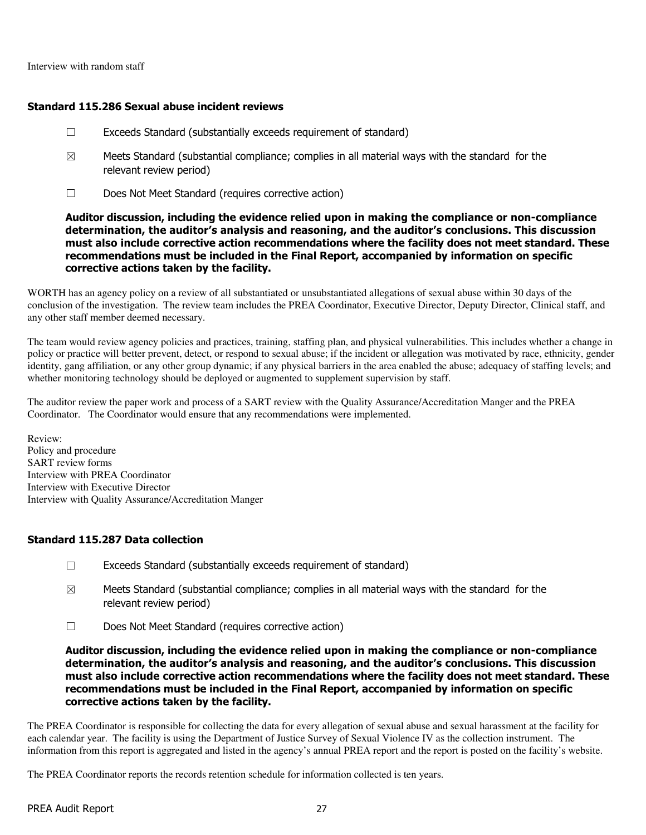#### Standard 115.286 Sexual abuse incident reviews

- $\Box$  Exceeds Standard (substantially exceeds requirement of standard)
- $\boxtimes$  Meets Standard (substantial compliance; complies in all material ways with the standard for the relevant review period)
- ☐ Does Not Meet Standard (requires corrective action)

Auditor discussion, including the evidence relied upon in making the compliance or non-compliance determination, the auditor's analysis and reasoning, and the auditor's conclusions. This discussion must also include corrective action recommendations where the facility does not meet standard. These recommendations must be included in the Final Report, accompanied by information on specific corrective actions taken by the facility.

WORTH has an agency policy on a review of all substantiated or unsubstantiated allegations of sexual abuse within 30 days of the conclusion of the investigation. The review team includes the PREA Coordinator, Executive Director, Deputy Director, Clinical staff, and any other staff member deemed necessary.

The team would review agency policies and practices, training, staffing plan, and physical vulnerabilities. This includes whether a change in policy or practice will better prevent, detect, or respond to sexual abuse; if the incident or allegation was motivated by race, ethnicity, gender identity, gang affiliation, or any other group dynamic; if any physical barriers in the area enabled the abuse; adequacy of staffing levels; and whether monitoring technology should be deployed or augmented to supplement supervision by staff.

The auditor review the paper work and process of a SART review with the Quality Assurance/Accreditation Manger and the PREA Coordinator. The Coordinator would ensure that any recommendations were implemented.

Review: Policy and procedure SART review forms Interview with PREA Coordinator Interview with Executive Director Interview with Quality Assurance/Accreditation Manger

### Standard 115.287 Data collection

- $\Box$  Exceeds Standard (substantially exceeds requirement of standard)
- $\boxtimes$  Meets Standard (substantial compliance; complies in all material ways with the standard for the relevant review period)
- ☐ Does Not Meet Standard (requires corrective action)

Auditor discussion, including the evidence relied upon in making the compliance or non-compliance determination, the auditor's analysis and reasoning, and the auditor's conclusions. This discussion must also include corrective action recommendations where the facility does not meet standard. These recommendations must be included in the Final Report, accompanied by information on specific corrective actions taken by the facility.

The PREA Coordinator is responsible for collecting the data for every allegation of sexual abuse and sexual harassment at the facility for each calendar year. The facility is using the Department of Justice Survey of Sexual Violence IV as the collection instrument. The information from this report is aggregated and listed in the agency's annual PREA report and the report is posted on the facility's website.

The PREA Coordinator reports the records retention schedule for information collected is ten years.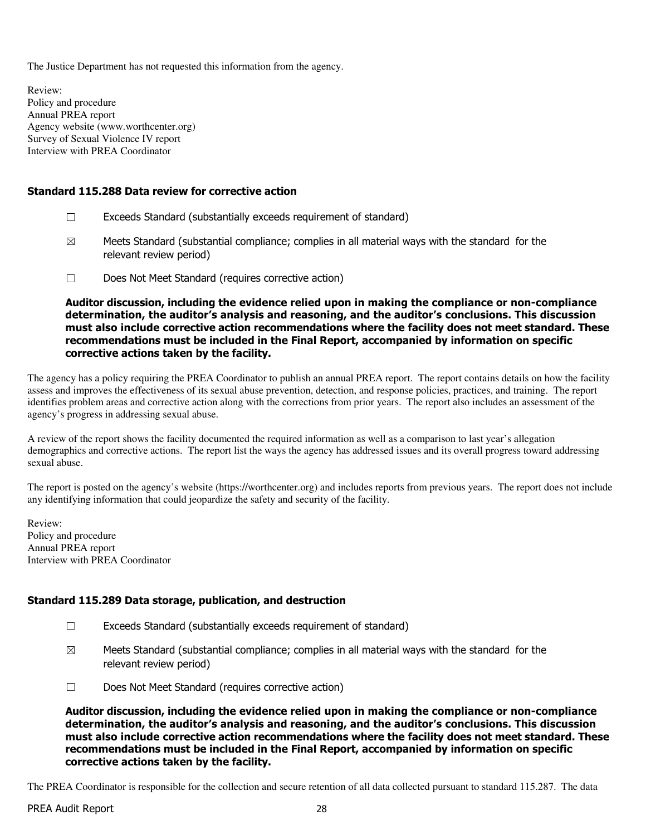The Justice Department has not requested this information from the agency.

Review: Policy and procedure Annual PREA report Agency website (www.worthcenter.org) Survey of Sexual Violence IV report Interview with PREA Coordinator

### Standard 115.288 Data review for corrective action

- ☐ Exceeds Standard (substantially exceeds requirement of standard)
- $\boxtimes$  Meets Standard (substantial compliance; complies in all material ways with the standard for the relevant review period)
- ☐ Does Not Meet Standard (requires corrective action)

Auditor discussion, including the evidence relied upon in making the compliance or non-compliance determination, the auditor's analysis and reasoning, and the auditor's conclusions. This discussion must also include corrective action recommendations where the facility does not meet standard. These recommendations must be included in the Final Report, accompanied by information on specific corrective actions taken by the facility.

The agency has a policy requiring the PREA Coordinator to publish an annual PREA report. The report contains details on how the facility assess and improves the effectiveness of its sexual abuse prevention, detection, and response policies, practices, and training. The report identifies problem areas and corrective action along with the corrections from prior years. The report also includes an assessment of the agency's progress in addressing sexual abuse.

A review of the report shows the facility documented the required information as well as a comparison to last year's allegation demographics and corrective actions. The report list the ways the agency has addressed issues and its overall progress toward addressing sexual abuse.

The report is posted on the agency's website (https://worthcenter.org) and includes reports from previous years. The report does not include any identifying information that could jeopardize the safety and security of the facility.

Review: Policy and procedure Annual PREA report Interview with PREA Coordinator

### Standard 115.289 Data storage, publication, and destruction

- ☐ Exceeds Standard (substantially exceeds requirement of standard)
- $\boxtimes$  Meets Standard (substantial compliance; complies in all material ways with the standard for the relevant review period)
- ☐ Does Not Meet Standard (requires corrective action)

Auditor discussion, including the evidence relied upon in making the compliance or non-compliance determination, the auditor's analysis and reasoning, and the auditor's conclusions. This discussion must also include corrective action recommendations where the facility does not meet standard. These recommendations must be included in the Final Report, accompanied by information on specific corrective actions taken by the facility.

The PREA Coordinator is responsible for the collection and secure retention of all data collected pursuant to standard 115.287. The data